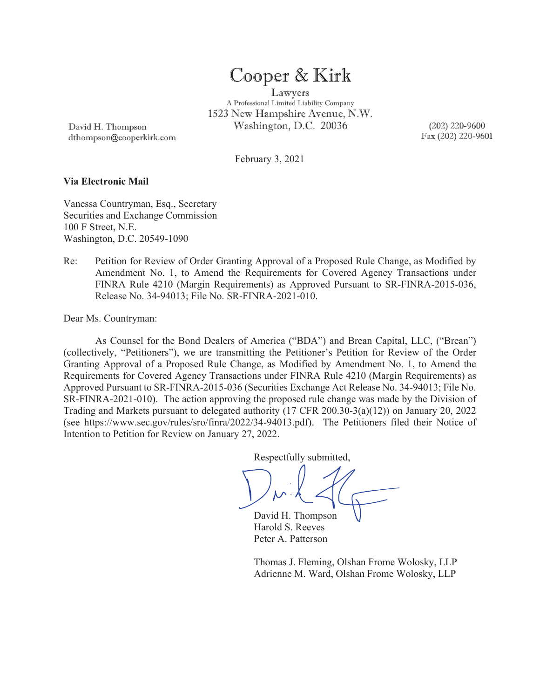# Cooper & Kirk

Lawyers A Professional Limited Liability Company 1523 New Hampshire Avenue, N.W. Washington, D.C. 20036 (202) 220-9600

David H. Thompson dthompson@cooperkirk.com Fax (202) 220-9601

February 3, 2021

#### **Via Electronic Mail**

Vanessa Countryman, Esq., Secretary Securities and Exchange Commission 100 F Street, N.E. Washington, D.C. 20549-1090

Re: Petition for Review of Order Granting Approval of a Proposed Rule Change, as Modified by Amendment No. 1, to Amend the Requirements for Covered Agency Transactions under FINRA Rule 4210 (Margin Requirements) as Approved Pursuant to SR-FINRA-2015-036, Release No. 34-94013; File No. SR-FINRA-2021-010.

Dear Ms. Countryman:

As Counsel for the Bond Dealers of America ("BDA") and Brean Capital, LLC, ("Brean") (collectively, "Petitioners"), we are transmitting the Petitioner's Petition for Review of the Order Granting Approval of a Proposed Rule Change, as Modified by Amendment No. 1, to Amend the Requirements for Covered Agency Transactions under FINRA Rule 4210 (Margin Requirements) as Approved Pursuant to SR-FINRA-2015-036 (Securities Exchange Act Release No. 34-94013; File No. SR-FINRA-2021-010). The action approving the proposed rule change was made by the Division of Trading and Markets pursuant to delegated authority (17 CFR 200.30-3(a)(12)) on January 20, 2022 (see https://www.sec.gov/rules/sro/finra/2022/34-94013.pdf). The Petitioners filed their Notice of Intention to Petition for Review on January 27, 2022.

Respectfully submitted,

David H. Thompson Harold S. Reeves Peter A. Patterson

Thomas J. Fleming, Olshan Frome Wolosky, LLP Adrienne M. Ward, Olshan Frome Wolosky, LLP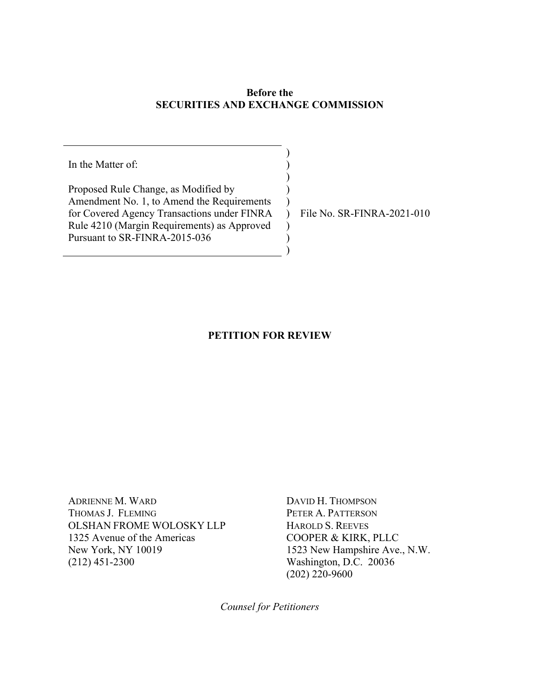## **Before the SECURITIES AND EXCHANGE COMMISSION**

) ) ) ) )

 $\lambda$ ) )

In the Matter of:

Proposed Rule Change, as Modified by Amendment No. 1, to Amend the Requirements for Covered Agency Transactions under FINRA Rule 4210 (Margin Requirements) as Approved Pursuant to SR-FINRA-2015-036

) File No. SR-FINRA-2021-010

## **PETITION FOR REVIEW**

ADRIENNE M. WARD THOMAS J. FLEMING OLSHAN FROME WOLOSKY LLP 1325 Avenue of the Americas New York, NY 10019 (212) 451-2300

DAVID H. THOMPSON PETER A. PATTERSON HAROLD S. REEVES COOPER & KIRK, PLLC 1523 New Hampshire Ave., N.W. Washington, D.C. 20036 (202) 220-9600

*Counsel for Petitioners*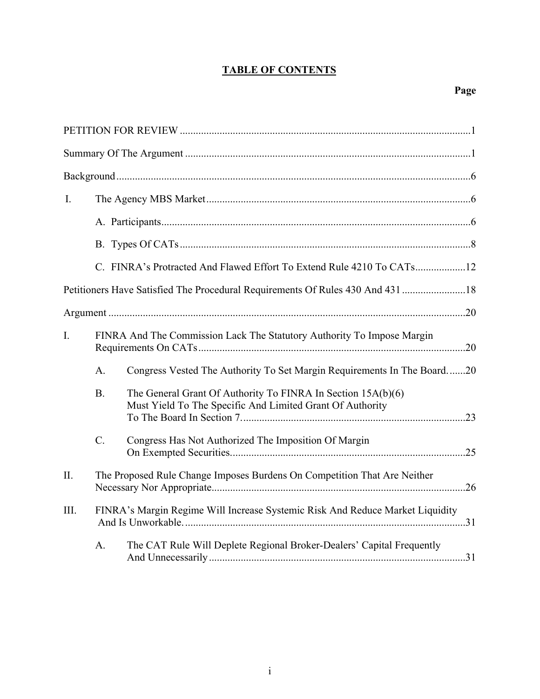# **TABLE OF CONTENTS**

| I.             |           |                                                                                                                           |  |
|----------------|-----------|---------------------------------------------------------------------------------------------------------------------------|--|
|                |           |                                                                                                                           |  |
|                |           |                                                                                                                           |  |
|                |           | C. FINRA's Protracted And Flawed Effort To Extend Rule 4210 To CATs12                                                     |  |
|                |           | Petitioners Have Satisfied The Procedural Requirements Of Rules 430 And 431  18                                           |  |
|                |           |                                                                                                                           |  |
| $\mathbf{I}$ . |           | FINRA And The Commission Lack The Statutory Authority To Impose Margin                                                    |  |
|                | A.        | Congress Vested The Authority To Set Margin Requirements In The Board20                                                   |  |
|                | <b>B.</b> | The General Grant Of Authority To FINRA In Section 15A(b)(6)<br>Must Yield To The Specific And Limited Grant Of Authority |  |
|                | C.        | Congress Has Not Authorized The Imposition Of Margin                                                                      |  |
| II.            |           | The Proposed Rule Change Imposes Burdens On Competition That Are Neither                                                  |  |
| III.           |           | FINRA's Margin Regime Will Increase Systemic Risk And Reduce Market Liquidity                                             |  |
|                | A.        | The CAT Rule Will Deplete Regional Broker-Dealers' Capital Frequently                                                     |  |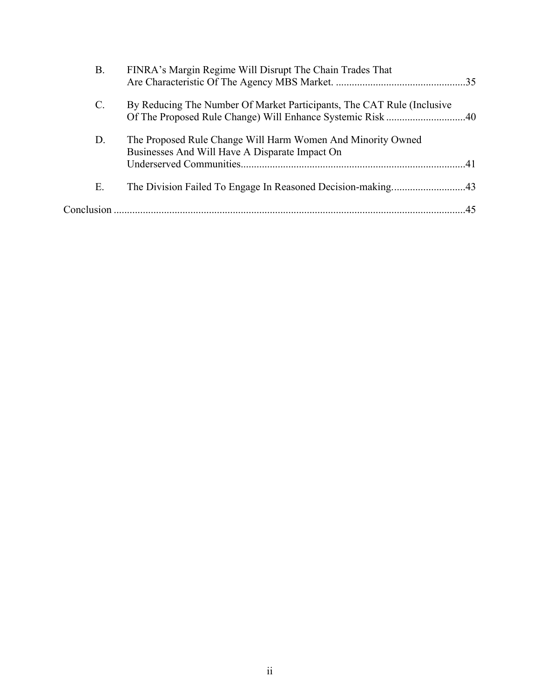| В.             | FINRA's Margin Regime Will Disrupt The Chain Trades That                                                      |  |
|----------------|---------------------------------------------------------------------------------------------------------------|--|
| $\mathbf{C}$ . | By Reducing The Number Of Market Participants, The CAT Rule (Inclusive                                        |  |
| D.             | The Proposed Rule Change Will Harm Women And Minority Owned<br>Businesses And Will Have A Disparate Impact On |  |
| Ε.             | The Division Failed To Engage In Reasoned Decision-making43                                                   |  |
|                |                                                                                                               |  |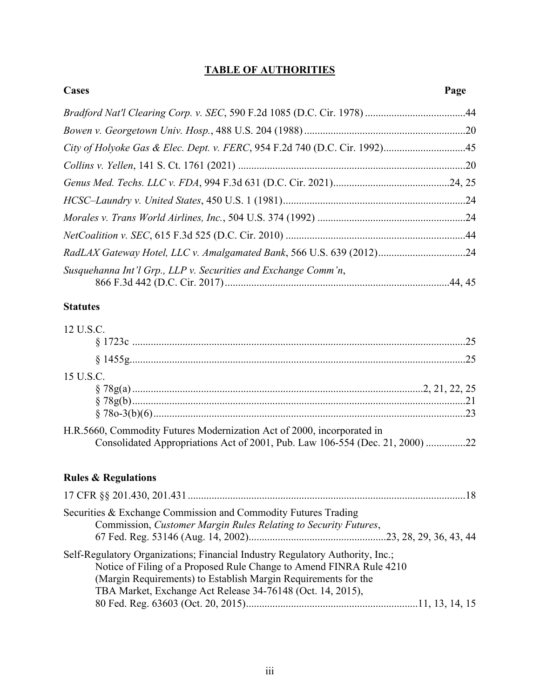# **TABLE OF AUTHORITIES**

| Cases                                                                | Page |
|----------------------------------------------------------------------|------|
|                                                                      |      |
|                                                                      |      |
|                                                                      |      |
|                                                                      |      |
|                                                                      |      |
|                                                                      |      |
|                                                                      |      |
|                                                                      |      |
| RadLAX Gateway Hotel, LLC v. Amalgamated Bank, 566 U.S. 639 (2012)24 |      |
| Susquehanna Int'l Grp., LLP v. Securities and Exchange Comm'n,       |      |

## **Statutes**

| 12 U.S.C.                                                                                                                                              |  |
|--------------------------------------------------------------------------------------------------------------------------------------------------------|--|
|                                                                                                                                                        |  |
|                                                                                                                                                        |  |
| 15 U.S.C.                                                                                                                                              |  |
|                                                                                                                                                        |  |
|                                                                                                                                                        |  |
|                                                                                                                                                        |  |
| H.R.5660, Commodity Futures Modernization Act of 2000, incorporated in<br>Consolidated Appropriations Act of 2001, Pub. Law 106-554 (Dec. 21, 2000) 22 |  |
| <b>Rules &amp; Regulations</b>                                                                                                                         |  |
|                                                                                                                                                        |  |

| Securities & Exchange Commission and Commodity Futures Trading                |  |
|-------------------------------------------------------------------------------|--|
| Commission, Customer Margin Rules Relating to Security Futures,               |  |
|                                                                               |  |
| Self-Regulatory Organizations; Financial Industry Regulatory Authority, Inc.; |  |
| Notice of Filing of a Proposed Rule Change to Amend FINRA Rule 4210           |  |
| (Margin Requirements) to Establish Margin Requirements for the                |  |
| TBA Market, Exchange Act Release 34-76148 (Oct. 14, 2015),                    |  |
|                                                                               |  |
|                                                                               |  |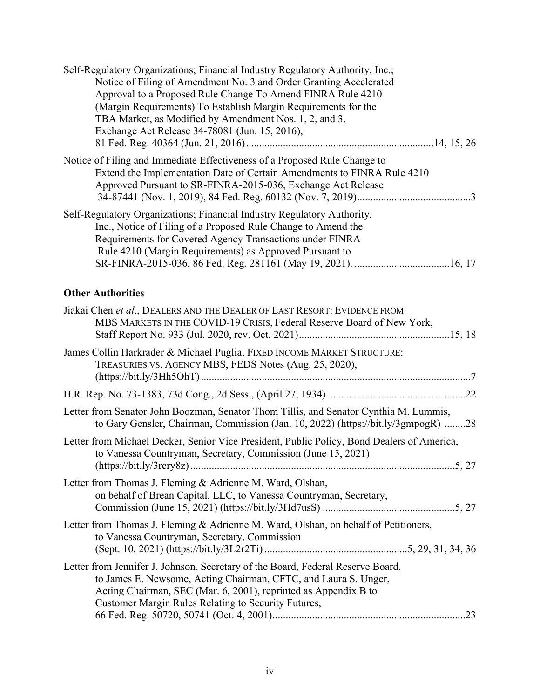| Self-Regulatory Organizations; Financial Industry Regulatory Authority, Inc.;<br>Notice of Filing of Amendment No. 3 and Order Granting Accelerated<br>Approval to a Proposed Rule Change To Amend FINRA Rule 4210<br>(Margin Requirements) To Establish Margin Requirements for the<br>TBA Market, as Modified by Amendment Nos. 1, 2, and 3,<br>Exchange Act Release 34-78081 (Jun. 15, 2016), |
|--------------------------------------------------------------------------------------------------------------------------------------------------------------------------------------------------------------------------------------------------------------------------------------------------------------------------------------------------------------------------------------------------|
| Notice of Filing and Immediate Effectiveness of a Proposed Rule Change to<br>Extend the Implementation Date of Certain Amendments to FINRA Rule 4210<br>Approved Pursuant to SR-FINRA-2015-036, Exchange Act Release                                                                                                                                                                             |
| Self-Regulatory Organizations; Financial Industry Regulatory Authority,<br>Inc., Notice of Filing of a Proposed Rule Change to Amend the<br>Requirements for Covered Agency Transactions under FINRA<br>Rule 4210 (Margin Requirements) as Approved Pursuant to                                                                                                                                  |
| <b>Other Authorities</b>                                                                                                                                                                                                                                                                                                                                                                         |
| Jiakai Chen et al., DEALERS AND THE DEALER OF LAST RESORT: EVIDENCE FROM<br>MBS MARKETS IN THE COVID-19 CRISIS, Federal Reserve Board of New York,                                                                                                                                                                                                                                               |
| James Collin Harkrader & Michael Puglia, FIXED INCOME MARKET STRUCTURE:<br>TREASURIES VS. AGENCY MBS, FEDS Notes (Aug. 25, 2020),                                                                                                                                                                                                                                                                |
|                                                                                                                                                                                                                                                                                                                                                                                                  |
| Letter from Senator John Boozman, Senator Thom Tillis, and Senator Cynthia M. Lummis,<br>to Gary Gensler, Chairman, Commission (Jan. 10, 2022) (https://bit.ly/3gmpogR) 28                                                                                                                                                                                                                       |
| Letter from Michael Decker, Senior Vice President, Public Policy, Bond Dealers of America,<br>to Vanessa Countryman, Secretary, Commission (June 15, 2021)                                                                                                                                                                                                                                       |
| Letter from Thomas J. Fleming & Adrienne M. Ward, Olshan,<br>on behalf of Brean Capital, LLC, to Vanessa Countryman, Secretary,                                                                                                                                                                                                                                                                  |
| Letter from Thomas J. Fleming & Adrienne M. Ward, Olshan, on behalf of Petitioners,<br>to Vanessa Countryman, Secretary, Commission                                                                                                                                                                                                                                                              |
| Letter from Jennifer J. Johnson, Secretary of the Board, Federal Reserve Board,<br>to James E. Newsome, Acting Chairman, CFTC, and Laura S. Unger,<br>Acting Chairman, SEC (Mar. 6, 2001), reprinted as Appendix B to<br>Customer Margin Rules Relating to Security Futures,                                                                                                                     |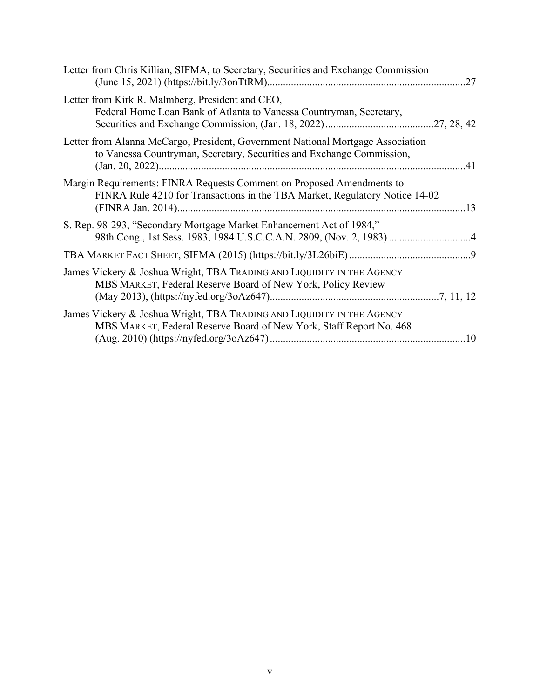| Letter from Chris Killian, SIFMA, to Secretary, Securities and Exchange Commission                                                                       |
|----------------------------------------------------------------------------------------------------------------------------------------------------------|
| Letter from Kirk R. Malmberg, President and CEO,<br>Federal Home Loan Bank of Atlanta to Vanessa Countryman, Secretary,                                  |
| Letter from Alanna McCargo, President, Government National Mortgage Association<br>to Vanessa Countryman, Secretary, Securities and Exchange Commission, |
| Margin Requirements: FINRA Requests Comment on Proposed Amendments to<br>FINRA Rule 4210 for Transactions in the TBA Market, Regulatory Notice 14-02     |
| S. Rep. 98-293, "Secondary Mortgage Market Enhancement Act of 1984,"                                                                                     |
|                                                                                                                                                          |
| James Vickery & Joshua Wright, TBA TRADING AND LIQUIDITY IN THE AGENCY<br>MBS MARKET, Federal Reserve Board of New York, Policy Review                   |
| James Vickery & Joshua Wright, TBA TRADING AND LIQUIDITY IN THE AGENCY<br>MBS MARKET, Federal Reserve Board of New York, Staff Report No. 468            |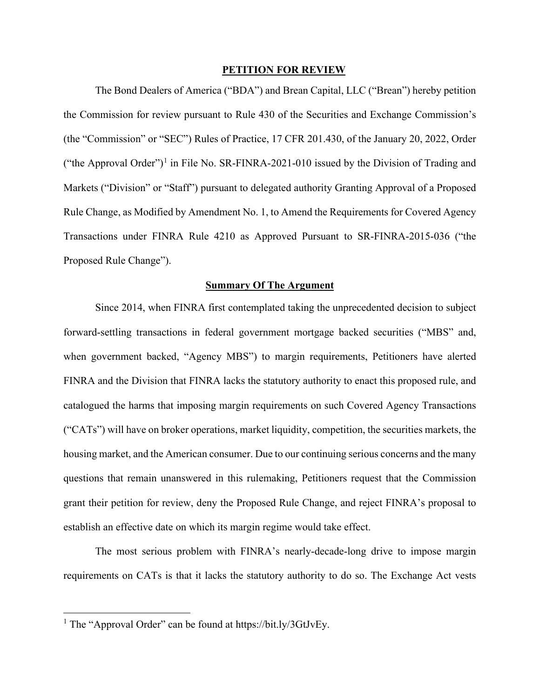#### **PETITION FOR REVIEW**

The Bond Dealers of America ("BDA") and Brean Capital, LLC ("Brean") hereby petition the Commission for review pursuant to Rule 430 of the Securities and Exchange Commission's (the "Commission" or "SEC") Rules of Practice, 17 CFR 201.430, of the January 20, 2022, Order ("the Approval Order")<sup>[1](#page-7-0)</sup> in File No. SR-FINRA-2021-010 issued by the Division of Trading and Markets ("Division" or "Staff") pursuant to delegated authority Granting Approval of a Proposed Rule Change, as Modified by Amendment No. 1, to Amend the Requirements for Covered Agency Transactions under FINRA Rule 4210 as Approved Pursuant to SR-FINRA-2015-036 ("the Proposed Rule Change").

#### **Summary Of The Argument**

Since 2014, when FINRA first contemplated taking the unprecedented decision to subject forward-settling transactions in federal government mortgage backed securities ("MBS" and, when government backed, "Agency MBS") to margin requirements, Petitioners have alerted FINRA and the Division that FINRA lacks the statutory authority to enact this proposed rule, and catalogued the harms that imposing margin requirements on such Covered Agency Transactions ("CATs") will have on broker operations, market liquidity, competition, the securities markets, the housing market, and the American consumer. Due to our continuing serious concerns and the many questions that remain unanswered in this rulemaking, Petitioners request that the Commission grant their petition for review, deny the Proposed Rule Change, and reject FINRA's proposal to establish an effective date on which its margin regime would take effect.

The most serious problem with FINRA's nearly-decade-long drive to impose margin requirements on CATs is that it lacks the statutory authority to do so. The Exchange Act vests

<span id="page-7-0"></span><sup>&</sup>lt;sup>1</sup> The "Approval Order" can be found at https://bit.ly/3GtJvEy.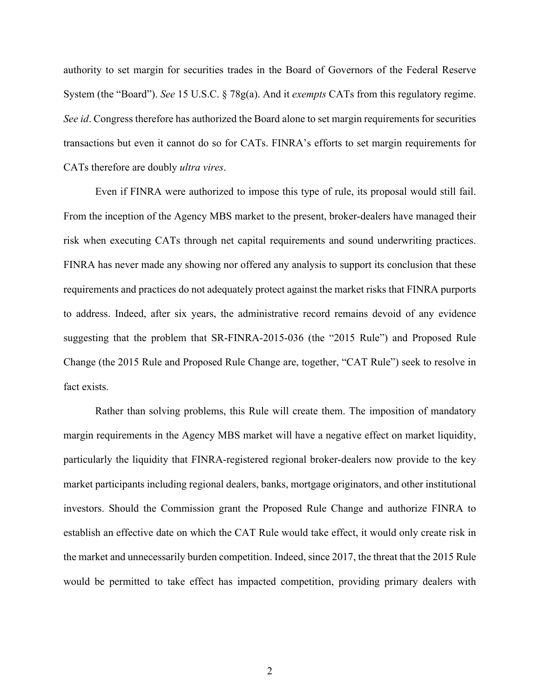authority to set margin for securities trades in the Board of Governors of the Federal Reserve System (the "Board"). *See* 15 U.S.C. § 78g(a). And it *exempts* CATs from this regulatory regime. *See id*. Congress therefore has authorized the Board alone to set margin requirements for securities transactions but even it cannot do so for CATs. FINRA's efforts to set margin requirements for CATs therefore are doubly *ultra vires*.

Even if FINRA were authorized to impose this type of rule, its proposal would still fail. From the inception of the Agency MBS market to the present, broker-dealers have managed their risk when executing CATs through net capital requirements and sound underwriting practices. FINRA has never made any showing nor offered any analysis to support its conclusion that these requirements and practices do not adequately protect against the market risks that FINRA purports to address. Indeed, after six years, the administrative record remains devoid of any evidence suggesting that the problem that SR-FINRA-2015-036 (the "2015 Rule") and Proposed Rule Change (the 2015 Rule and Proposed Rule Change are, together, "CAT Rule") seek to resolve in fact exists.

Rather than solving problems, this Rule will create them. The imposition of mandatory margin requirements in the Agency MBS market will have a negative effect on market liquidity, particularly the liquidity that FINRA-registered regional broker-dealers now provide to the key market participants including regional dealers, banks, mortgage originators, and other institutional investors. Should the Commission grant the Proposed Rule Change and authorize FINRA to establish an effective date on which the CAT Rule would take effect, it would only create risk in the market and unnecessarily burden competition. Indeed, since 2017, the threat that the 2015 Rule would be permitted to take effect has impacted competition, providing primary dealers with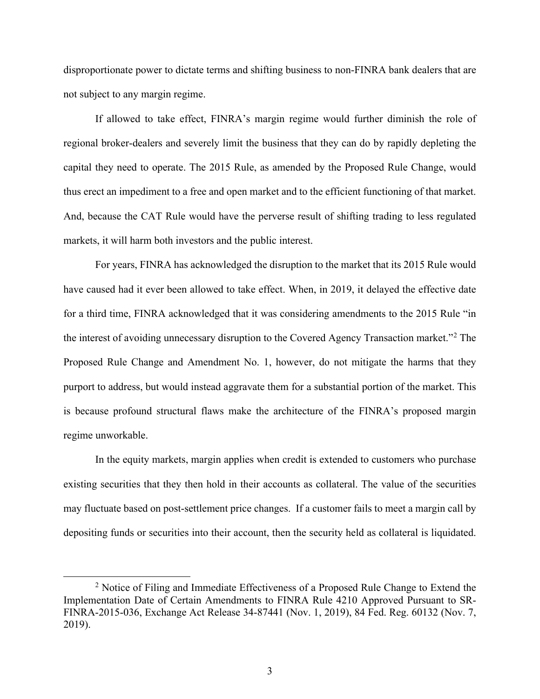disproportionate power to dictate terms and shifting business to non-FINRA bank dealers that are not subject to any margin regime.

If allowed to take effect, FINRA's margin regime would further diminish the role of regional broker-dealers and severely limit the business that they can do by rapidly depleting the capital they need to operate. The 2015 Rule, as amended by the Proposed Rule Change, would thus erect an impediment to a free and open market and to the efficient functioning of that market. And, because the CAT Rule would have the perverse result of shifting trading to less regulated markets, it will harm both investors and the public interest.

For years, FINRA has acknowledged the disruption to the market that its 2015 Rule would have caused had it ever been allowed to take effect. When, in 2019, it delayed the effective date for a third time, FINRA acknowledged that it was considering amendments to the 2015 Rule "in the interest of avoiding unnecessary disruption to the Covered Agency Transaction market."[2](#page-9-0) The Proposed Rule Change and Amendment No. 1, however, do not mitigate the harms that they purport to address, but would instead aggravate them for a substantial portion of the market. This is because profound structural flaws make the architecture of the FINRA's proposed margin regime unworkable.

In the equity markets, margin applies when credit is extended to customers who purchase existing securities that they then hold in their accounts as collateral. The value of the securities may fluctuate based on post-settlement price changes. If a customer fails to meet a margin call by depositing funds or securities into their account, then the security held as collateral is liquidated.

<span id="page-9-0"></span><sup>&</sup>lt;sup>2</sup> Notice of Filing and Immediate Effectiveness of a Proposed Rule Change to Extend the Implementation Date of Certain Amendments to FINRA Rule 4210 Approved Pursuant to SR-FINRA-2015-036, Exchange Act Release 34-87441 (Nov. 1, 2019), 84 Fed. Reg. 60132 (Nov. 7, 2019).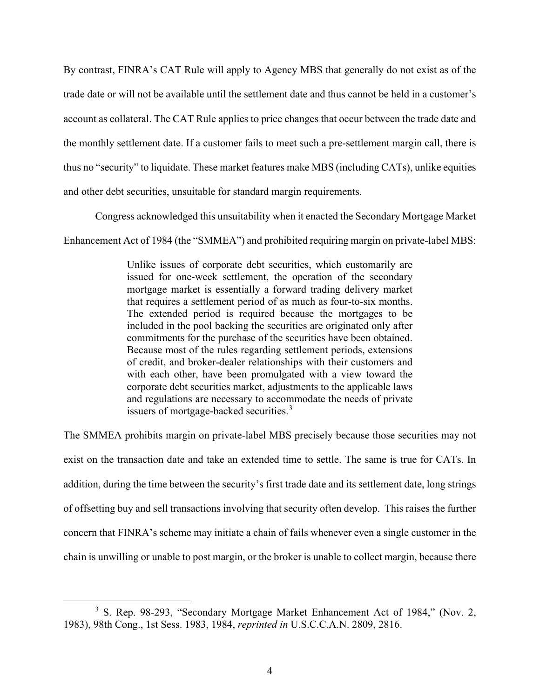By contrast, FINRA's CAT Rule will apply to Agency MBS that generally do not exist as of the trade date or will not be available until the settlement date and thus cannot be held in a customer's account as collateral. The CAT Rule applies to price changes that occur between the trade date and the monthly settlement date. If a customer fails to meet such a pre-settlement margin call, there is thus no "security" to liquidate. These market features make MBS (including CATs), unlike equities and other debt securities, unsuitable for standard margin requirements.

Congress acknowledged this unsuitability when it enacted the Secondary Mortgage Market

Enhancement Act of 1984 (the "SMMEA") and prohibited requiring margin on private-label MBS:

Unlike issues of corporate debt securities, which customarily are issued for one-week settlement, the operation of the secondary mortgage market is essentially a forward trading delivery market that requires a settlement period of as much as four-to-six months. The extended period is required because the mortgages to be included in the pool backing the securities are originated only after commitments for the purchase of the securities have been obtained. Because most of the rules regarding settlement periods, extensions of credit, and broker-dealer relationships with their customers and with each other, have been promulgated with a view toward the corporate debt securities market, adjustments to the applicable laws and regulations are necessary to accommodate the needs of private issuers of mortgage-backed securities.<sup>[3](#page-10-0)</sup>

The SMMEA prohibits margin on private-label MBS precisely because those securities may not exist on the transaction date and take an extended time to settle. The same is true for CATs. In addition, during the time between the security's first trade date and its settlement date, long strings of offsetting buy and sell transactions involving that security often develop. This raises the further concern that FINRA's scheme may initiate a chain of fails whenever even a single customer in the chain is unwilling or unable to post margin, or the broker is unable to collect margin, because there

<span id="page-10-0"></span><sup>&</sup>lt;sup>3</sup> S. Rep. 98-293, "Secondary Mortgage Market Enhancement Act of 1984," (Nov. 2, 1983), 98th Cong., 1st Sess. 1983, 1984, *reprinted in* U.S.C.C.A.N. 2809, 2816.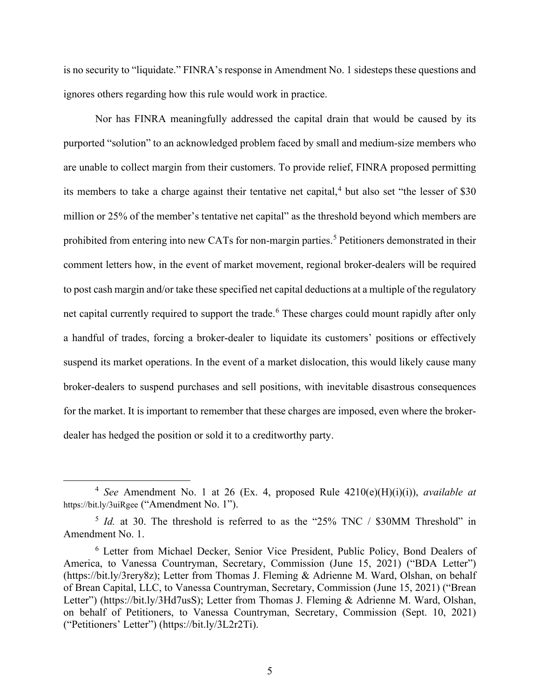is no security to "liquidate." FINRA's response in Amendment No. 1 sidesteps these questions and ignores others regarding how this rule would work in practice.

Nor has FINRA meaningfully addressed the capital drain that would be caused by its purported "solution" to an acknowledged problem faced by small and medium-size members who are unable to collect margin from their customers. To provide relief, FINRA proposed permitting its members to take a charge against their tentative net capital,<sup>[4](#page-11-0)</sup> but also set "the lesser of  $$30$ " million or 25% of the member's tentative net capital" as the threshold beyond which members are prohibited from entering into new CATs for non-margin parties. [5](#page-11-1) Petitioners demonstrated in their comment letters how, in the event of market movement, regional broker-dealers will be required to post cash margin and/or take these specified net capital deductions at a multiple of the regulatory net capital currently required to support the trade.<sup>[6](#page-11-2)</sup> These charges could mount rapidly after only a handful of trades, forcing a broker-dealer to liquidate its customers' positions or effectively suspend its market operations. In the event of a market dislocation, this would likely cause many broker-dealers to suspend purchases and sell positions, with inevitable disastrous consequences for the market. It is important to remember that these charges are imposed, even where the brokerdealer has hedged the position or sold it to a creditworthy party.

<span id="page-11-0"></span><sup>4</sup> *See* Amendment No. 1 at 26 (Ex. 4, proposed Rule 4210(e)(H)(i)(i)), *available at* https://bit.ly/3uiRgee ("Amendment No. 1").

<span id="page-11-1"></span><sup>&</sup>lt;sup>5</sup> *Id.* at 30. The threshold is referred to as the "25% TNC / \$30MM Threshold" in Amendment No. 1.

<span id="page-11-2"></span><sup>6</sup> Letter from Michael Decker, Senior Vice President, Public Policy, Bond Dealers of America, to Vanessa Countryman, Secretary, Commission (June 15, 2021) ("BDA Letter") (https://bit.ly/3rery8z); Letter from Thomas J. Fleming & Adrienne M. Ward, Olshan, on behalf of Brean Capital, LLC, to Vanessa Countryman, Secretary, Commission (June 15, 2021) ("Brean Letter") (https://bit.ly/3Hd7usS); Letter from Thomas J. Fleming & Adrienne M. Ward, Olshan, on behalf of Petitioners, to Vanessa Countryman, Secretary, Commission (Sept. 10, 2021) ("Petitioners' Letter") (https://bit.ly/3L2r2Ti).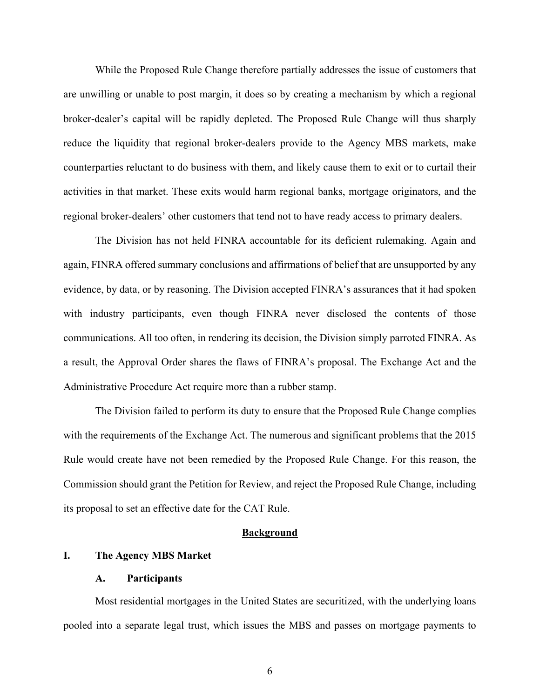While the Proposed Rule Change therefore partially addresses the issue of customers that are unwilling or unable to post margin, it does so by creating a mechanism by which a regional broker-dealer's capital will be rapidly depleted. The Proposed Rule Change will thus sharply reduce the liquidity that regional broker-dealers provide to the Agency MBS markets, make counterparties reluctant to do business with them, and likely cause them to exit or to curtail their activities in that market. These exits would harm regional banks, mortgage originators, and the regional broker-dealers' other customers that tend not to have ready access to primary dealers.

The Division has not held FINRA accountable for its deficient rulemaking. Again and again, FINRA offered summary conclusions and affirmations of belief that are unsupported by any evidence, by data, or by reasoning. The Division accepted FINRA's assurances that it had spoken with industry participants, even though FINRA never disclosed the contents of those communications. All too often, in rendering its decision, the Division simply parroted FINRA. As a result, the Approval Order shares the flaws of FINRA's proposal. The Exchange Act and the Administrative Procedure Act require more than a rubber stamp.

The Division failed to perform its duty to ensure that the Proposed Rule Change complies with the requirements of the Exchange Act. The numerous and significant problems that the 2015 Rule would create have not been remedied by the Proposed Rule Change. For this reason, the Commission should grant the Petition for Review, and reject the Proposed Rule Change, including its proposal to set an effective date for the CAT Rule.

#### **Background**

#### **I. The Agency MBS Market**

#### **A. Participants**

Most residential mortgages in the United States are securitized, with the underlying loans pooled into a separate legal trust, which issues the MBS and passes on mortgage payments to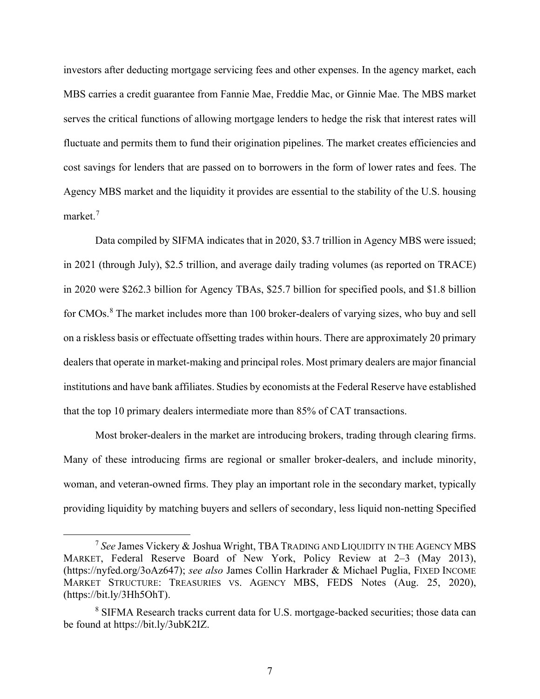investors after deducting mortgage servicing fees and other expenses. In the agency market, each MBS carries a credit guarantee from Fannie Mae, Freddie Mac, or Ginnie Mae. The MBS market serves the critical functions of allowing mortgage lenders to hedge the risk that interest rates will fluctuate and permits them to fund their origination pipelines. The market creates efficiencies and cost savings for lenders that are passed on to borrowers in the form of lower rates and fees. The Agency MBS market and the liquidity it provides are essential to the stability of the U.S. housing market.[7](#page-13-0)

Data compiled by SIFMA indicates that in 2020, \$3.7 trillion in Agency MBS were issued; in 2021 (through July), \$2.5 trillion, and average daily trading volumes (as reported on TRACE) in 2020 were \$262.3 billion for Agency TBAs, \$25.7 billion for specified pools, and \$1.8 billion for CMOs.<sup>[8](#page-13-1)</sup> The market includes more than 100 broker-dealers of varying sizes, who buy and sell on a riskless basis or effectuate offsetting trades within hours. There are approximately 20 primary dealers that operate in market-making and principal roles. Most primary dealers are major financial institutions and have bank affiliates. Studies by economists at the Federal Reserve have established that the top 10 primary dealers intermediate more than 85% of CAT transactions.

Most broker-dealers in the market are introducing brokers, trading through clearing firms. Many of these introducing firms are regional or smaller broker-dealers, and include minority, woman, and veteran-owned firms. They play an important role in the secondary market, typically providing liquidity by matching buyers and sellers of secondary, less liquid non-netting Specified

<span id="page-13-0"></span><sup>7</sup> *See* James Vickery & Joshua Wright, TBA TRADING AND LIQUIDITY IN THE AGENCY MBS MARKET, Federal Reserve Board of New York, Policy Review at 2–3 (May 2013), (https://nyfed.org/3oAz647); *see also* James Collin Harkrader & Michael Puglia, FIXED INCOME MARKET STRUCTURE: TREASURIES VS. AGENCY MBS, FEDS Notes (Aug. 25, 2020), (https://bit.ly/3Hh5OhT).

<span id="page-13-1"></span><sup>&</sup>lt;sup>8</sup> SIFMA Research tracks current data for U.S. mortgage-backed securities; those data can be found at https://bit.ly/3ubK2IZ.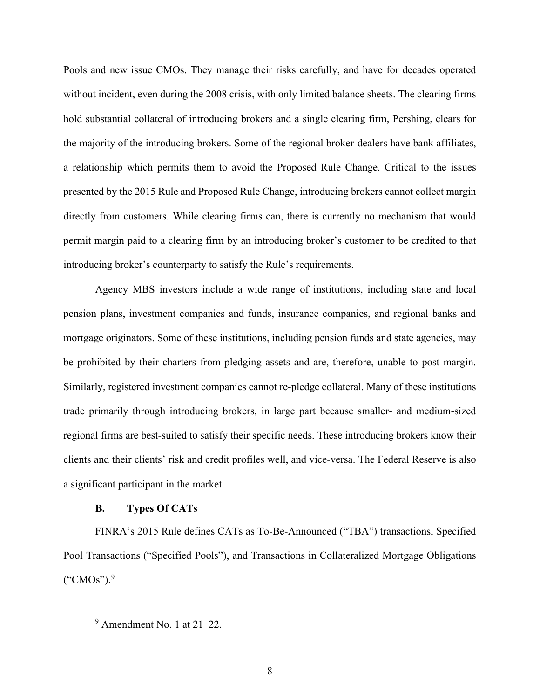Pools and new issue CMOs. They manage their risks carefully, and have for decades operated without incident, even during the 2008 crisis, with only limited balance sheets. The clearing firms hold substantial collateral of introducing brokers and a single clearing firm, Pershing, clears for the majority of the introducing brokers. Some of the regional broker-dealers have bank affiliates, a relationship which permits them to avoid the Proposed Rule Change. Critical to the issues presented by the 2015 Rule and Proposed Rule Change, introducing brokers cannot collect margin directly from customers. While clearing firms can, there is currently no mechanism that would permit margin paid to a clearing firm by an introducing broker's customer to be credited to that introducing broker's counterparty to satisfy the Rule's requirements.

Agency MBS investors include a wide range of institutions, including state and local pension plans, investment companies and funds, insurance companies, and regional banks and mortgage originators. Some of these institutions, including pension funds and state agencies, may be prohibited by their charters from pledging assets and are, therefore, unable to post margin. Similarly, registered investment companies cannot re-pledge collateral. Many of these institutions trade primarily through introducing brokers, in large part because smaller- and medium-sized regional firms are best-suited to satisfy their specific needs. These introducing brokers know their clients and their clients' risk and credit profiles well, and vice-versa. The Federal Reserve is also a significant participant in the market.

#### **B. Types Of CATs**

FINRA's 2015 Rule defines CATs as To-Be-Announced ("TBA") transactions, Specified Pool Transactions ("Specified Pools"), and Transactions in Collateralized Mortgage Obligations ("CMOs"). [9](#page-14-0)

<span id="page-14-0"></span> $9$  Amendment No. 1 at 21–22.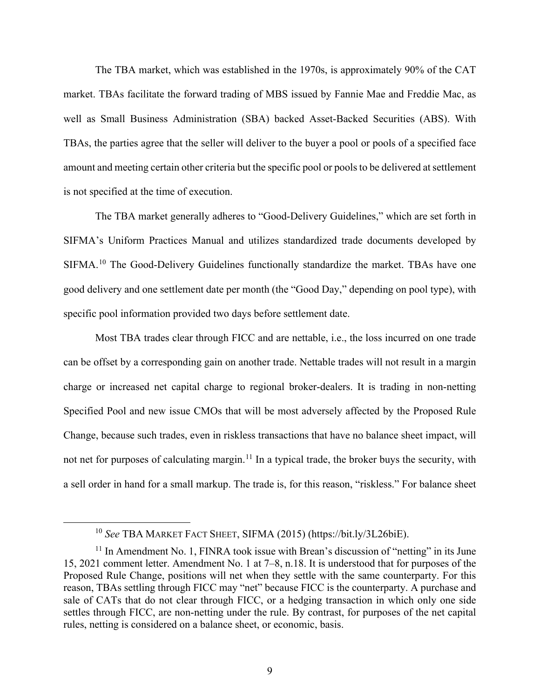The TBA market, which was established in the 1970s, is approximately 90% of the CAT market. TBAs facilitate the forward trading of MBS issued by Fannie Mae and Freddie Mac, as well as Small Business Administration (SBA) backed Asset-Backed Securities (ABS). With TBAs, the parties agree that the seller will deliver to the buyer a pool or pools of a specified face amount and meeting certain other criteria but the specific pool or pools to be delivered at settlement is not specified at the time of execution.

The TBA market generally adheres to "Good-Delivery Guidelines," which are set forth in SIFMA's Uniform Practices Manual and utilizes standardized trade documents developed by SIFMA.<sup>[10](#page-15-0)</sup> The Good-Delivery Guidelines functionally standardize the market. TBAs have one good delivery and one settlement date per month (the "Good Day," depending on pool type), with specific pool information provided two days before settlement date.

Most TBA trades clear through FICC and are nettable, i.e., the loss incurred on one trade can be offset by a corresponding gain on another trade. Nettable trades will not result in a margin charge or increased net capital charge to regional broker-dealers. It is trading in non-netting Specified Pool and new issue CMOs that will be most adversely affected by the Proposed Rule Change, because such trades, even in riskless transactions that have no balance sheet impact, will not net for purposes of calculating margin.<sup>[11](#page-15-1)</sup> In a typical trade, the broker buys the security, with a sell order in hand for a small markup. The trade is, for this reason, "riskless." For balance sheet

<sup>10</sup> *See* TBA MARKET FACT SHEET, SIFMA (2015) (https://bit.ly/3L26biE).

<span id="page-15-1"></span><span id="page-15-0"></span> $11$  In Amendment No. 1, FINRA took issue with Brean's discussion of "netting" in its June 15, 2021 comment letter. Amendment No. 1 at 7–8, n.18. It is understood that for purposes of the Proposed Rule Change, positions will net when they settle with the same counterparty. For this reason, TBAs settling through FICC may "net" because FICC is the counterparty. A purchase and sale of CATs that do not clear through FICC, or a hedging transaction in which only one side settles through FICC, are non-netting under the rule. By contrast, for purposes of the net capital rules, netting is considered on a balance sheet, or economic, basis.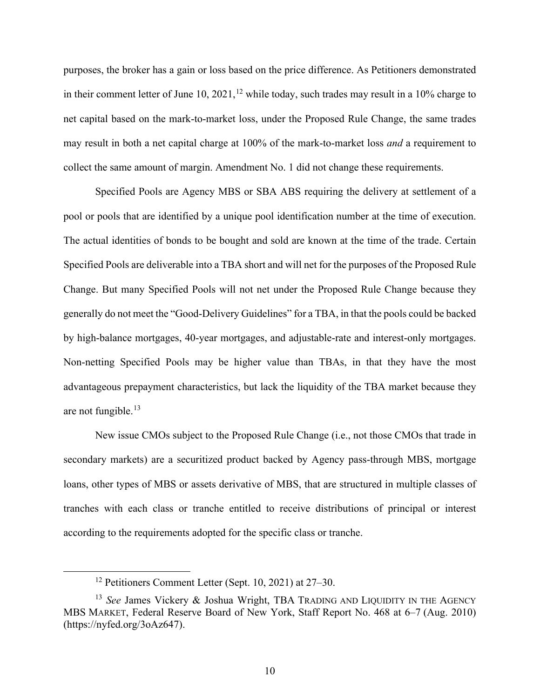purposes, the broker has a gain or loss based on the price difference. As Petitioners demonstrated in their comment letter of June 10, 2021,<sup>[12](#page-16-0)</sup> while today, such trades may result in a 10% charge to net capital based on the mark-to-market loss, under the Proposed Rule Change, the same trades may result in both a net capital charge at 100% of the mark-to-market loss *and* a requirement to collect the same amount of margin. Amendment No. 1 did not change these requirements.

Specified Pools are Agency MBS or SBA ABS requiring the delivery at settlement of a pool or pools that are identified by a unique pool identification number at the time of execution. The actual identities of bonds to be bought and sold are known at the time of the trade. Certain Specified Pools are deliverable into a TBA short and will net for the purposes of the Proposed Rule Change. But many Specified Pools will not net under the Proposed Rule Change because they generally do not meet the "Good-Delivery Guidelines" for a TBA, in that the pools could be backed by high-balance mortgages, 40-year mortgages, and adjustable-rate and interest-only mortgages. Non-netting Specified Pools may be higher value than TBAs, in that they have the most advantageous prepayment characteristics, but lack the liquidity of the TBA market because they are not fungible. $13$ 

New issue CMOs subject to the Proposed Rule Change (i.e., not those CMOs that trade in secondary markets) are a securitized product backed by Agency pass-through MBS, mortgage loans, other types of MBS or assets derivative of MBS, that are structured in multiple classes of tranches with each class or tranche entitled to receive distributions of principal or interest according to the requirements adopted for the specific class or tranche.

<sup>12</sup> Petitioners Comment Letter (Sept. 10, 2021) at 27–30.

<span id="page-16-1"></span><span id="page-16-0"></span><sup>13</sup> *See* James Vickery & Joshua Wright, TBA TRADING AND LIQUIDITY IN THE AGENCY MBS MARKET, Federal Reserve Board of New York, Staff Report No. 468 at 6–7 (Aug. 2010) (https://nyfed.org/3oAz647).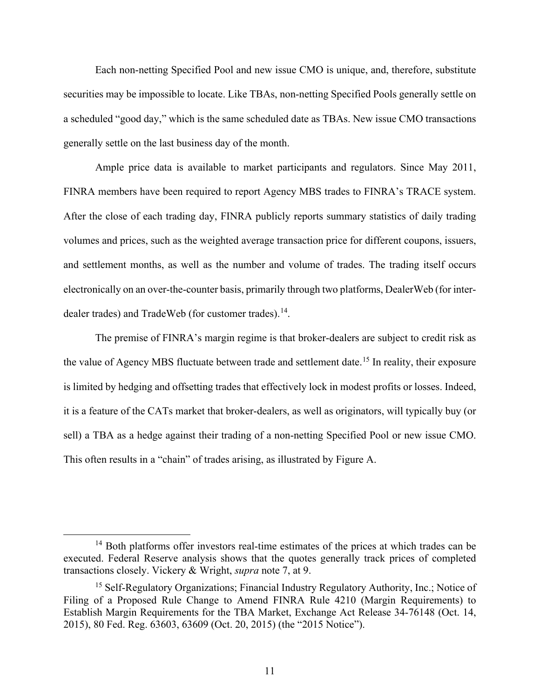Each non-netting Specified Pool and new issue CMO is unique, and, therefore, substitute securities may be impossible to locate. Like TBAs, non-netting Specified Pools generally settle on a scheduled "good day," which is the same scheduled date as TBAs. New issue CMO transactions generally settle on the last business day of the month.

Ample price data is available to market participants and regulators. Since May 2011, FINRA members have been required to report Agency MBS trades to FINRA's TRACE system. After the close of each trading day, FINRA publicly reports summary statistics of daily trading volumes and prices, such as the weighted average transaction price for different coupons, issuers, and settlement months, as well as the number and volume of trades. The trading itself occurs electronically on an over-the-counter basis, primarily through two platforms, DealerWeb (for inter-dealer trades) and TradeWeb (for customer trades).<sup>[14](#page-17-0)</sup>.

The premise of FINRA's margin regime is that broker-dealers are subject to credit risk as the value of Agency MBS fluctuate between trade and settlement date.<sup>[15](#page-17-1)</sup> In reality, their exposure is limited by hedging and offsetting trades that effectively lock in modest profits or losses. Indeed, it is a feature of the CATs market that broker-dealers, as well as originators, will typically buy (or sell) a TBA as a hedge against their trading of a non-netting Specified Pool or new issue CMO. This often results in a "chain" of trades arising, as illustrated by Figure A.

<span id="page-17-0"></span><sup>&</sup>lt;sup>14</sup> Both platforms offer investors real-time estimates of the prices at which trades can be executed. Federal Reserve analysis shows that the quotes generally track prices of completed transactions closely. Vickery & Wright, *supra* note 7, at 9.

<span id="page-17-1"></span><sup>&</sup>lt;sup>15</sup> Self-Regulatory Organizations; Financial Industry Regulatory Authority, Inc.; Notice of Filing of a Proposed Rule Change to Amend FINRA Rule 4210 (Margin Requirements) to Establish Margin Requirements for the TBA Market, Exchange Act Release 34-76148 (Oct. 14, 2015), 80 Fed. Reg. 63603, 63609 (Oct. 20, 2015) (the "2015 Notice").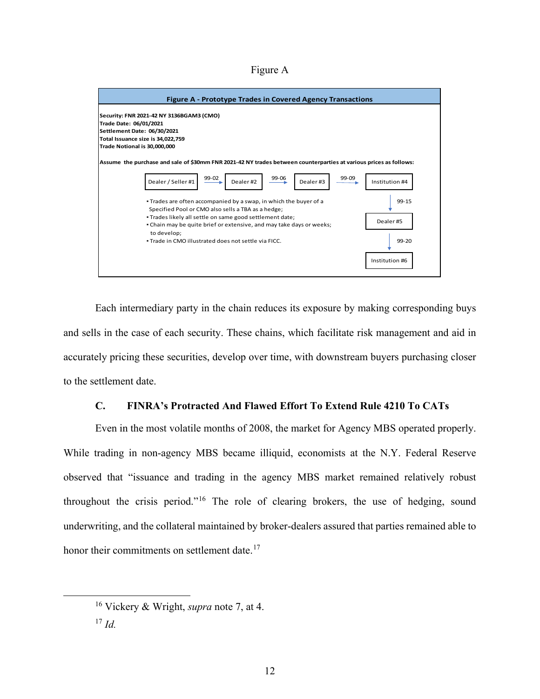Figure A



Each intermediary party in the chain reduces its exposure by making corresponding buys and sells in the case of each security. These chains, which facilitate risk management and aid in accurately pricing these securities, develop over time, with downstream buyers purchasing closer to the settlement date.

## **C. FINRA's Protracted And Flawed Effort To Extend Rule 4210 To CATs**

Even in the most volatile months of 2008, the market for Agency MBS operated properly. While trading in non-agency MBS became illiquid, economists at the N.Y. Federal Reserve observed that "issuance and trading in the agency MBS market remained relatively robust throughout the crisis period."[16](#page-18-0) The role of clearing brokers, the use of hedging, sound underwriting, and the collateral maintained by broker-dealers assured that parties remained able to honor their commitments on settlement date.<sup>[17](#page-18-1)</sup>

<span id="page-18-0"></span><sup>16</sup> Vickery & Wright, *supra* note 7, at 4.

<span id="page-18-1"></span><sup>17</sup> *Id.*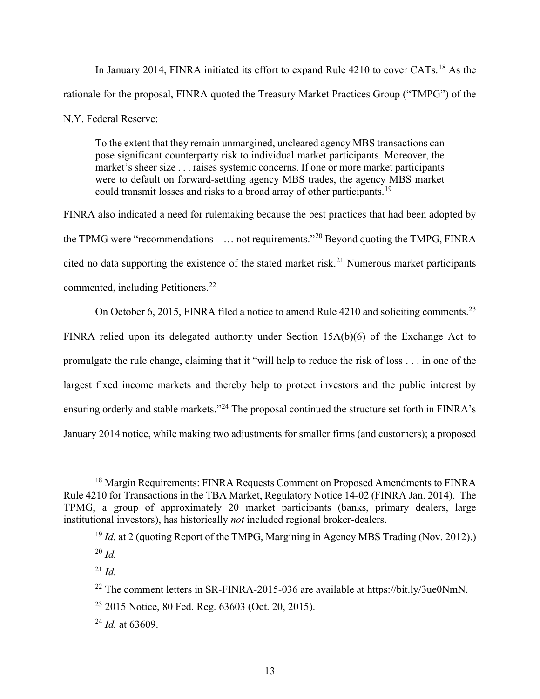In January 2014, FINRA initiated its effort to expand Rule 4210 to cover CATs.<sup>[18](#page-19-0)</sup> As the rationale for the proposal, FINRA quoted the Treasury Market Practices Group ("TMPG") of the N.Y. Federal Reserve:

To the extent that they remain unmargined, uncleared agency MBS transactions can pose significant counterparty risk to individual market participants. Moreover, the market's sheer size . . . raises systemic concerns. If one or more market participants were to default on forward-settling agency MBS trades, the agency MBS market could transmit losses and risks to a broad array of other participants.<sup>[19](#page-19-1)</sup>

FINRA also indicated a need for rulemaking because the best practices that had been adopted by the TPMG were "recommendations –  $\dots$  not requirements."<sup>[20](#page-19-2)</sup> Beyond quoting the TMPG, FINRA cited no data supporting the existence of the stated market risk.<sup>[21](#page-19-3)</sup> Numerous market participants commented, including Petitioners.<sup>[22](#page-19-4)</sup>

On October 6, 2015, FINRA filed a notice to amend Rule 4210 and soliciting comments.<sup>[23](#page-19-5)</sup>

FINRA relied upon its delegated authority under Section 15A(b)(6) of the Exchange Act to promulgate the rule change, claiming that it "will help to reduce the risk of loss . . . in one of the largest fixed income markets and thereby help to protect investors and the public interest by ensuring orderly and stable markets."[24](#page-19-6) The proposal continued the structure set forth in FINRA's January 2014 notice, while making two adjustments for smaller firms (and customers); a proposed

<span id="page-19-1"></span><span id="page-19-0"></span><sup>&</sup>lt;sup>18</sup> Margin Requirements: FINRA Requests Comment on Proposed Amendments to FINRA Rule 4210 for Transactions in the TBA Market, Regulatory Notice 14-02 (FINRA Jan. 2014). The TPMG, a group of approximately 20 market participants (banks, primary dealers, large institutional investors), has historically *not* included regional broker-dealers.

<sup>&</sup>lt;sup>19</sup> *Id.* at 2 (quoting Report of the TMPG, Margining in Agency MBS Trading (Nov. 2012).)

<span id="page-19-2"></span><sup>20</sup> *Id.*

<span id="page-19-3"></span><sup>21</sup> *Id.*

<span id="page-19-4"></span><sup>&</sup>lt;sup>22</sup> The comment letters in SR-FINRA-2015-036 are available at https://bit.ly/3ue0NmN.

<span id="page-19-5"></span><sup>23</sup> 2015 Notice, 80 Fed. Reg. 63603 (Oct. 20, 2015).

<span id="page-19-6"></span><sup>24</sup> *Id.* at 63609.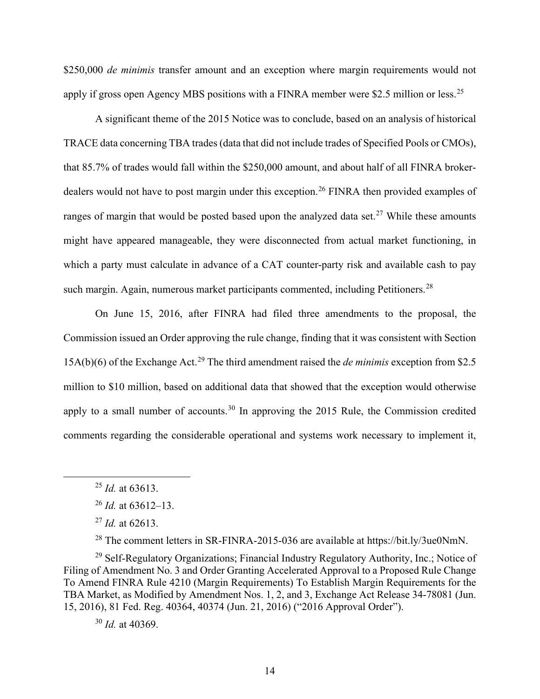\$250,000 *de minimis* transfer amount and an exception where margin requirements would not apply if gross open Agency MBS positions with a FINRA member were \$2.5 million or less.<sup>[25](#page-20-0)</sup>

A significant theme of the 2015 Notice was to conclude, based on an analysis of historical TRACE data concerning TBA trades (data that did not include trades of Specified Pools or CMOs), that 85.7% of trades would fall within the \$250,000 amount, and about half of all FINRA broker-dealers would not have to post margin under this exception.<sup>[26](#page-20-1)</sup> FINRA then provided examples of ranges of margin that would be posted based upon the analyzed data set.<sup>[27](#page-20-2)</sup> While these amounts might have appeared manageable, they were disconnected from actual market functioning, in which a party must calculate in advance of a CAT counter-party risk and available cash to pay such margin. Again, numerous market participants commented, including Petitioners.<sup>[28](#page-20-3)</sup>

On June 15, 2016, after FINRA had filed three amendments to the proposal, the Commission issued an Order approving the rule change, finding that it was consistent with Section 15A(b)(6) of the Exchange Act.[29](#page-20-4) The third amendment raised the *de minimis* exception from \$2.5 million to \$10 million, based on additional data that showed that the exception would otherwise apply to a small number of accounts.<sup>[30](#page-20-5)</sup> In approving the 2015 Rule, the Commission credited comments regarding the considerable operational and systems work necessary to implement it,

<sup>28</sup> The comment letters in SR-FINRA-2015-036 are available at https://bit.ly/3ue0NmN.

<span id="page-20-5"></span><span id="page-20-4"></span><span id="page-20-3"></span><span id="page-20-2"></span><span id="page-20-1"></span><sup>29</sup> Self-Regulatory Organizations; Financial Industry Regulatory Authority, Inc.; Notice of Filing of Amendment No. 3 and Order Granting Accelerated Approval to a Proposed Rule Change To Amend FINRA Rule 4210 (Margin Requirements) To Establish Margin Requirements for the TBA Market, as Modified by Amendment Nos. 1, 2, and 3, Exchange Act Release 34-78081 (Jun. 15, 2016), 81 Fed. Reg. 40364, 40374 (Jun. 21, 2016) ("2016 Approval Order").

<span id="page-20-0"></span><sup>25</sup> *Id.* at 63613.

<sup>26</sup> *Id.* at 63612–13.

<sup>27</sup> *Id.* at 62613.

<sup>30</sup> *Id.* at 40369.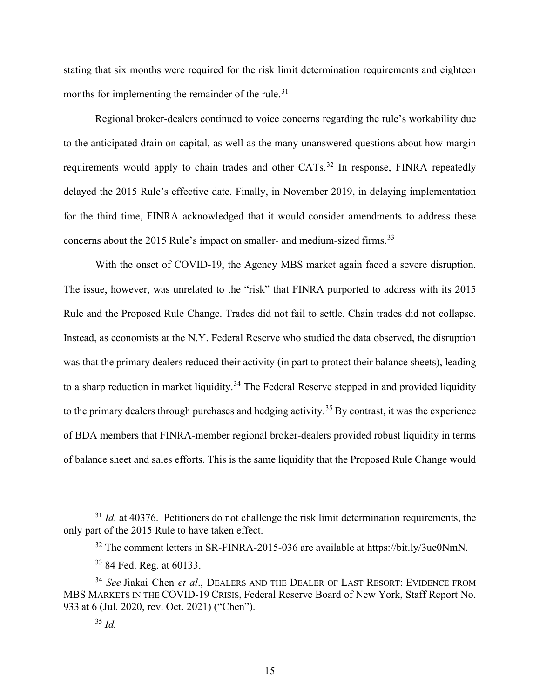stating that six months were required for the risk limit determination requirements and eighteen months for implementing the remainder of the rule.<sup>[31](#page-21-0)</sup>

Regional broker-dealers continued to voice concerns regarding the rule's workability due to the anticipated drain on capital, as well as the many unanswered questions about how margin requirements would apply to chain trades and other CATs.<sup>[32](#page-21-1)</sup> In response, FINRA repeatedly delayed the 2015 Rule's effective date. Finally, in November 2019, in delaying implementation for the third time, FINRA acknowledged that it would consider amendments to address these concerns about the 2015 Rule's impact on smaller- and medium-sized firms.<sup>[33](#page-21-2)</sup>

With the onset of COVID-19, the Agency MBS market again faced a severe disruption. The issue, however, was unrelated to the "risk" that FINRA purported to address with its 2015 Rule and the Proposed Rule Change. Trades did not fail to settle. Chain trades did not collapse. Instead, as economists at the N.Y. Federal Reserve who studied the data observed, the disruption was that the primary dealers reduced their activity (in part to protect their balance sheets), leading to a sharp reduction in market liquidity.<sup>[34](#page-21-3)</sup> The Federal Reserve stepped in and provided liquidity to the primary dealers through purchases and hedging activity.<sup>[35](#page-21-4)</sup> By contrast, it was the experience of BDA members that FINRA-member regional broker-dealers provided robust liquidity in terms of balance sheet and sales efforts. This is the same liquidity that the Proposed Rule Change would

<span id="page-21-1"></span><span id="page-21-0"></span><sup>&</sup>lt;sup>31</sup> *Id.* at 40376. Petitioners do not challenge the risk limit determination requirements, the only part of the 2015 Rule to have taken effect.

<sup>32</sup> The comment letters in SR-FINRA-2015-036 are available at https://bit.ly/3ue0NmN.

<sup>33</sup> 84 Fed. Reg. at 60133.

<span id="page-21-4"></span><span id="page-21-3"></span><span id="page-21-2"></span><sup>34</sup> *See* Jiakai Chen *et al*., DEALERS AND THE DEALER OF LAST RESORT: EVIDENCE FROM MBS MARKETS IN THE COVID-19 CRISIS, Federal Reserve Board of New York, Staff Report No. 933 at 6 (Jul. 2020, rev. Oct. 2021) ("Chen").

<sup>35</sup> *Id.*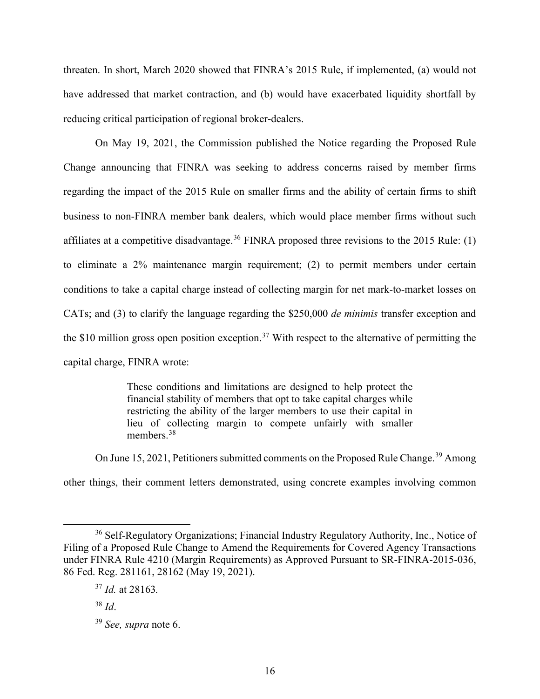threaten. In short, March 2020 showed that FINRA's 2015 Rule, if implemented, (a) would not have addressed that market contraction, and (b) would have exacerbated liquidity shortfall by reducing critical participation of regional broker-dealers.

On May 19, 2021, the Commission published the Notice regarding the Proposed Rule Change announcing that FINRA was seeking to address concerns raised by member firms regarding the impact of the 2015 Rule on smaller firms and the ability of certain firms to shift business to non-FINRA member bank dealers, which would place member firms without such affiliates at a competitive disadvantage.<sup>[36](#page-22-0)</sup> FINRA proposed three revisions to the 2015 Rule: (1) to eliminate a 2% maintenance margin requirement; (2) to permit members under certain conditions to take a capital charge instead of collecting margin for net mark-to-market losses on CATs; and (3) to clarify the language regarding the \$250,000 *de minimis* transfer exception and the \$10 million gross open position exception.<sup>[37](#page-22-1)</sup> With respect to the alternative of permitting the capital charge, FINRA wrote:

> These conditions and limitations are designed to help protect the financial stability of members that opt to take capital charges while restricting the ability of the larger members to use their capital in lieu of collecting margin to compete unfairly with smaller members.<sup>[38](#page-22-2)</sup>

On June 15, 2021, Petitioners submitted comments on the Proposed Rule Change.<sup>[39](#page-22-3)</sup> Among other things, their comment letters demonstrated, using concrete examples involving common

<span id="page-22-1"></span><span id="page-22-0"></span><sup>&</sup>lt;sup>36</sup> Self-Regulatory Organizations; Financial Industry Regulatory Authority, Inc., Notice of Filing of a Proposed Rule Change to Amend the Requirements for Covered Agency Transactions under FINRA Rule 4210 (Margin Requirements) as Approved Pursuant to SR-FINRA-2015-036, 86 Fed. Reg. 281161, 28162 (May 19, 2021).

<sup>37</sup> *Id.* at 28163*.*

<span id="page-22-2"></span><sup>38</sup> *Id*.

<span id="page-22-3"></span><sup>39</sup> *See, supra* note 6.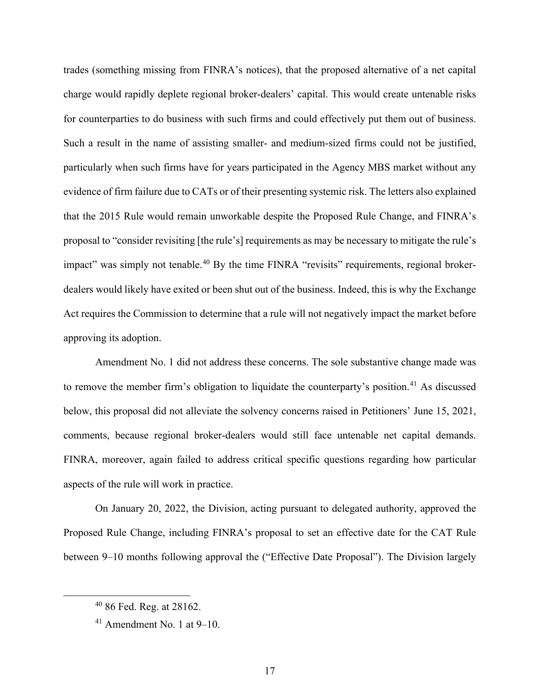trades (something missing from FINRA's notices), that the proposed alternative of a net capital charge would rapidly deplete regional broker-dealers' capital. This would create untenable risks for counterparties to do business with such firms and could effectively put them out of business. Such a result in the name of assisting smaller- and medium-sized firms could not be justified, particularly when such firms have for years participated in the Agency MBS market without any evidence of firm failure due to CATs or of their presenting systemic risk. The letters also explained that the 2015 Rule would remain unworkable despite the Proposed Rule Change, and FINRA's proposal to "consider revisiting [the rule's] requirements as may be necessary to mitigate the rule's impact" was simply not tenable.<sup>[40](#page-23-0)</sup> By the time FINRA "revisits" requirements, regional brokerdealers would likely have exited or been shut out of the business. Indeed, this is why the Exchange Act requires the Commission to determine that a rule will not negatively impact the market before approving its adoption.

Amendment No. 1 did not address these concerns. The sole substantive change made was to remove the member firm's obligation to liquidate the counterparty's position.<sup>[41](#page-23-1)</sup> As discussed below, this proposal did not alleviate the solvency concerns raised in Petitioners' June 15, 2021, comments, because regional broker-dealers would still face untenable net capital demands. FINRA, moreover, again failed to address critical specific questions regarding how particular aspects of the rule will work in practice.

On January 20, 2022, the Division, acting pursuant to delegated authority, approved the Proposed Rule Change, including FINRA's proposal to set an effective date for the CAT Rule between 9–10 months following approval the ("Effective Date Proposal"). The Division largely

<span id="page-23-0"></span><sup>40</sup> 86 Fed. Reg. at 28162.

<span id="page-23-1"></span> $41$  Amendment No. 1 at 9–10.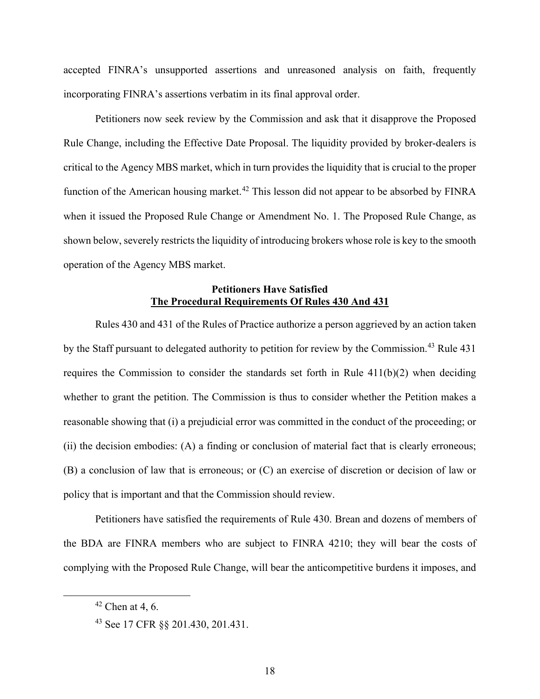accepted FINRA's unsupported assertions and unreasoned analysis on faith, frequently incorporating FINRA's assertions verbatim in its final approval order.

Petitioners now seek review by the Commission and ask that it disapprove the Proposed Rule Change, including the Effective Date Proposal. The liquidity provided by broker-dealers is critical to the Agency MBS market, which in turn provides the liquidity that is crucial to the proper function of the American housing market.<sup>[42](#page-24-0)</sup> This lesson did not appear to be absorbed by FINRA when it issued the Proposed Rule Change or Amendment No. 1. The Proposed Rule Change, as shown below, severely restricts the liquidity of introducing brokers whose role is key to the smooth operation of the Agency MBS market.

## **Petitioners Have Satisfied The Procedural Requirements Of Rules 430 And 431**

Rules 430 and 431 of the Rules of Practice authorize a person aggrieved by an action taken by the Staff pursuant to delegated authority to petition for review by the Commission.<sup>[43](#page-24-1)</sup> Rule 431 requires the Commission to consider the standards set forth in Rule 411(b)(2) when deciding whether to grant the petition. The Commission is thus to consider whether the Petition makes a reasonable showing that (i) a prejudicial error was committed in the conduct of the proceeding; or (ii) the decision embodies: (A) a finding or conclusion of material fact that is clearly erroneous; (B) a conclusion of law that is erroneous; or (C) an exercise of discretion or decision of law or policy that is important and that the Commission should review.

Petitioners have satisfied the requirements of Rule 430. Brean and dozens of members of the BDA are FINRA members who are subject to FINRA 4210; they will bear the costs of complying with the Proposed Rule Change, will bear the anticompetitive burdens it imposes, and

<span id="page-24-0"></span> $42$  Chen at 4, 6.

<span id="page-24-1"></span><sup>43</sup> See 17 CFR §§ 201.430, 201.431.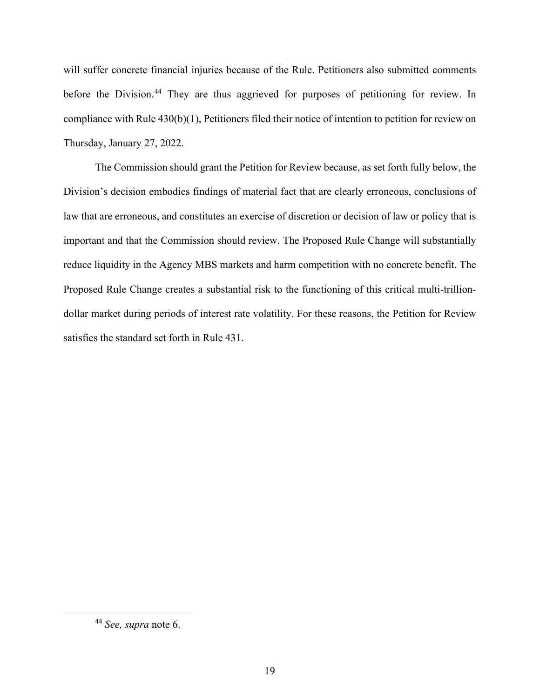will suffer concrete financial injuries because of the Rule. Petitioners also submitted comments before the Division.<sup>[44](#page-25-0)</sup> They are thus aggrieved for purposes of petitioning for review. In compliance with Rule 430(b)(1), Petitioners filed their notice of intention to petition for review on Thursday, January 27, 2022.

The Commission should grant the Petition for Review because, as set forth fully below, the Division's decision embodies findings of material fact that are clearly erroneous, conclusions of law that are erroneous, and constitutes an exercise of discretion or decision of law or policy that is important and that the Commission should review. The Proposed Rule Change will substantially reduce liquidity in the Agency MBS markets and harm competition with no concrete benefit. The Proposed Rule Change creates a substantial risk to the functioning of this critical multi-trilliondollar market during periods of interest rate volatility. For these reasons, the Petition for Review satisfies the standard set forth in Rule 431.

<span id="page-25-0"></span><sup>44</sup> *See, supra* note 6.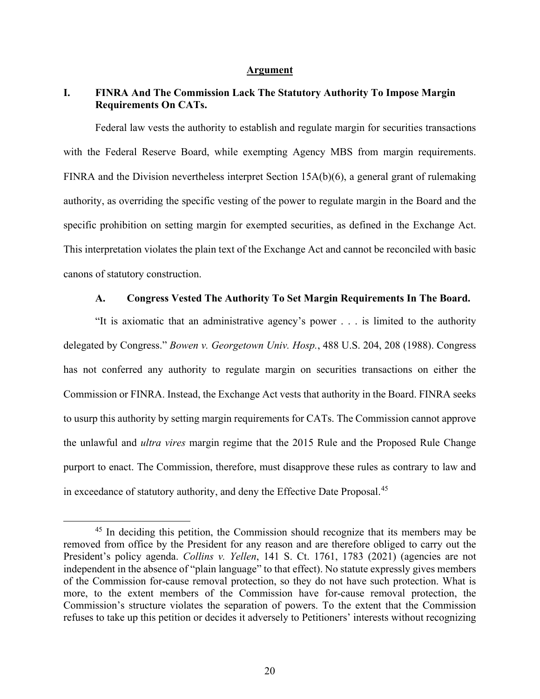#### **Argument**

## **I. FINRA And The Commission Lack The Statutory Authority To Impose Margin Requirements On CATs.**

Federal law vests the authority to establish and regulate margin for securities transactions with the Federal Reserve Board, while exempting Agency MBS from margin requirements. FINRA and the Division nevertheless interpret Section 15A(b)(6), a general grant of rulemaking authority, as overriding the specific vesting of the power to regulate margin in the Board and the specific prohibition on setting margin for exempted securities, as defined in the Exchange Act. This interpretation violates the plain text of the Exchange Act and cannot be reconciled with basic canons of statutory construction.

#### **A. Congress Vested The Authority To Set Margin Requirements In The Board.**

"It is axiomatic that an administrative agency's power . . . is limited to the authority delegated by Congress." *Bowen v. Georgetown Univ. Hosp.*, 488 U.S. 204, 208 (1988). Congress has not conferred any authority to regulate margin on securities transactions on either the Commission or FINRA. Instead, the Exchange Act vests that authority in the Board. FINRA seeks to usurp this authority by setting margin requirements for CATs. The Commission cannot approve the unlawful and *ultra vires* margin regime that the 2015 Rule and the Proposed Rule Change purport to enact. The Commission, therefore, must disapprove these rules as contrary to law and in exceedance of statutory authority, and deny the Effective Date Proposal.<sup>[45](#page-26-0)</sup>

<span id="page-26-0"></span><sup>&</sup>lt;sup>45</sup> In deciding this petition, the Commission should recognize that its members may be removed from office by the President for any reason and are therefore obliged to carry out the President's policy agenda. *Collins v. Yellen*, 141 S. Ct. 1761, 1783 (2021) (agencies are not independent in the absence of "plain language" to that effect). No statute expressly gives members of the Commission for-cause removal protection, so they do not have such protection. What is more, to the extent members of the Commission have for-cause removal protection, the Commission's structure violates the separation of powers. To the extent that the Commission refuses to take up this petition or decides it adversely to Petitioners' interests without recognizing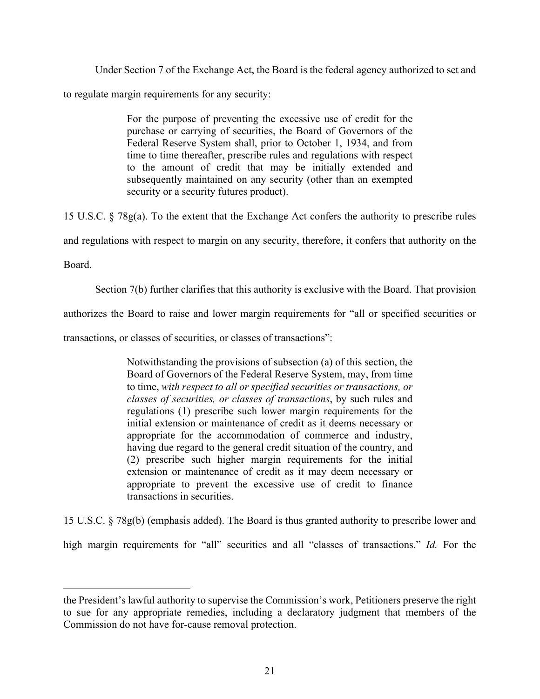Under Section 7 of the Exchange Act, the Board is the federal agency authorized to set and

to regulate margin requirements for any security:

For the purpose of preventing the excessive use of credit for the purchase or carrying of securities, the Board of Governors of the Federal Reserve System shall, prior to October 1, 1934, and from time to time thereafter, prescribe rules and regulations with respect to the amount of credit that may be initially extended and subsequently maintained on any security (other than an exempted security or a security futures product).

15 U.S.C. § 78g(a). To the extent that the Exchange Act confers the authority to prescribe rules

and regulations with respect to margin on any security, therefore, it confers that authority on the

Board.

Section 7(b) further clarifies that this authority is exclusive with the Board. That provision

authorizes the Board to raise and lower margin requirements for "all or specified securities or

transactions, or classes of securities, or classes of transactions":

Notwithstanding the provisions of subsection (a) of this section, the Board of Governors of the Federal Reserve System, may, from time to time, *with respect to all or specified securities or transactions, or classes of securities, or classes of transactions*, by such rules and regulations (1) prescribe such lower margin requirements for the initial extension or maintenance of credit as it deems necessary or appropriate for the accommodation of commerce and industry, having due regard to the general credit situation of the country, and (2) prescribe such higher margin requirements for the initial extension or maintenance of credit as it may deem necessary or appropriate to prevent the excessive use of credit to finance transactions in securities.

15 U.S.C. § 78g(b) (emphasis added). The Board is thus granted authority to prescribe lower and high margin requirements for "all" securities and all "classes of transactions." *Id.* For the

the President's lawful authority to supervise the Commission's work, Petitioners preserve the right to sue for any appropriate remedies, including a declaratory judgment that members of the Commission do not have for-cause removal protection.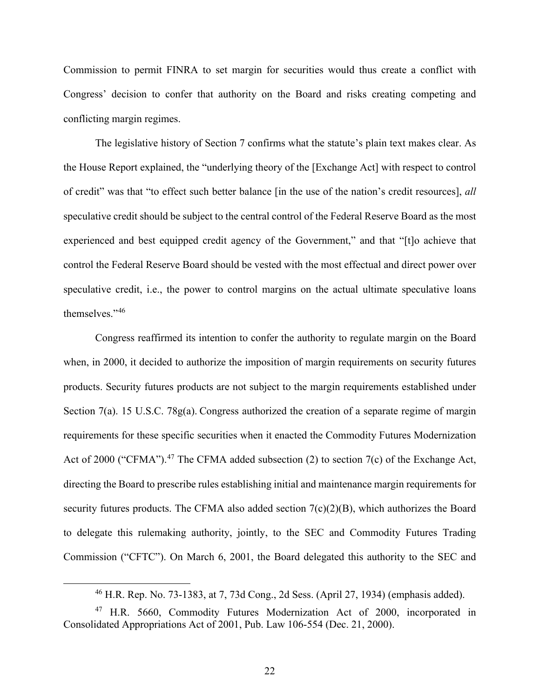Commission to permit FINRA to set margin for securities would thus create a conflict with Congress' decision to confer that authority on the Board and risks creating competing and conflicting margin regimes.

The legislative history of Section 7 confirms what the statute's plain text makes clear. As the House Report explained, the "underlying theory of the [Exchange Act] with respect to control of credit" was that "to effect such better balance [in the use of the nation's credit resources], *all* speculative credit should be subject to the central control of the Federal Reserve Board as the most experienced and best equipped credit agency of the Government," and that "[t]o achieve that control the Federal Reserve Board should be vested with the most effectual and direct power over speculative credit, i.e., the power to control margins on the actual ultimate speculative loans themselves."[46](#page-28-0)

Congress reaffirmed its intention to confer the authority to regulate margin on the Board when, in 2000, it decided to authorize the imposition of margin requirements on security futures products. Security futures products are not subject to the margin requirements established under Section 7(a). 15 U.S.C. 78g(a). Congress authorized the creation of a separate regime of margin requirements for these specific securities when it enacted the Commodity Futures Modernization Act of 2000 ("CFMA").<sup>[47](#page-28-1)</sup> The CFMA added subsection (2) to section 7(c) of the Exchange Act, directing the Board to prescribe rules establishing initial and maintenance margin requirements for security futures products. The CFMA also added section  $7(c)(2)(B)$ , which authorizes the Board to delegate this rulemaking authority, jointly, to the SEC and Commodity Futures Trading Commission ("CFTC"). On March 6, 2001, the Board delegated this authority to the SEC and

<sup>46</sup> H.R. Rep. No. 73-1383, at 7, 73d Cong., 2d Sess. (April 27, 1934) (emphasis added).

<span id="page-28-1"></span><span id="page-28-0"></span><sup>47</sup> H.R. 5660, Commodity Futures Modernization Act of 2000, incorporated in Consolidated Appropriations Act of 2001, Pub. Law 106-554 (Dec. 21, 2000).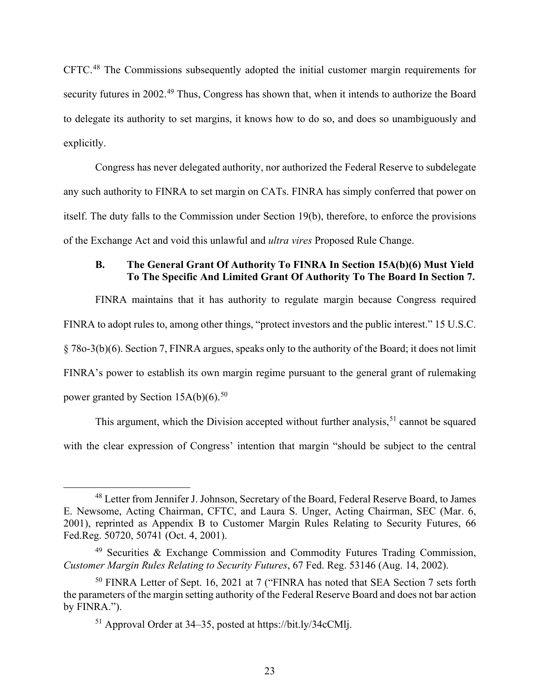CFTC.[48](#page-29-0) The Commissions subsequently adopted the initial customer margin requirements for security futures in 2002.<sup>[49](#page-29-1)</sup> Thus, Congress has shown that, when it intends to authorize the Board to delegate its authority to set margins, it knows how to do so, and does so unambiguously and explicitly.

Congress has never delegated authority, nor authorized the Federal Reserve to subdelegate any such authority to FINRA to set margin on CATs. FINRA has simply conferred that power on itself. The duty falls to the Commission under Section 19(b), therefore, to enforce the provisions of the Exchange Act and void this unlawful and *ultra vires* Proposed Rule Change.

## **B. The General Grant Of Authority To FINRA In Section 15A(b)(6) Must Yield To The Specific And Limited Grant Of Authority To The Board In Section 7.**

FINRA maintains that it has authority to regulate margin because Congress required FINRA to adopt rules to, among other things, "protect investors and the public interest." 15 U.S.C. § 78o-3(b)(6). Section 7, FINRA argues, speaks only to the authority of the Board; it does not limit FINRA's power to establish its own margin regime pursuant to the general grant of rulemaking power granted by Section  $15A(b)(6)$ .<sup>[50](#page-29-2)</sup>

This argument, which the Division accepted without further analysis,  $51$  cannot be squared with the clear expression of Congress' intention that margin "should be subject to the central

<span id="page-29-0"></span><sup>&</sup>lt;sup>48</sup> Letter from Jennifer J. Johnson, Secretary of the Board, Federal Reserve Board, to James E. Newsome, Acting Chairman, CFTC, and Laura S. Unger, Acting Chairman, SEC (Mar. 6, 2001), reprinted as Appendix B to Customer Margin Rules Relating to Security Futures, 66 Fed.Reg. 50720, 50741 (Oct. 4, 2001).

<span id="page-29-1"></span><sup>49</sup> Securities & Exchange Commission and Commodity Futures Trading Commission, *Customer Margin Rules Relating to Security Futures*, 67 Fed. Reg. 53146 (Aug. 14, 2002).

<span id="page-29-3"></span><span id="page-29-2"></span><sup>&</sup>lt;sup>50</sup> FINRA Letter of Sept. 16, 2021 at 7 ("FINRA has noted that SEA Section 7 sets forth the parameters of the margin setting authority of the Federal Reserve Board and does not bar action by FINRA.").

<sup>51</sup> Approval Order at 34–35, posted at https://bit.ly/34cCMlj.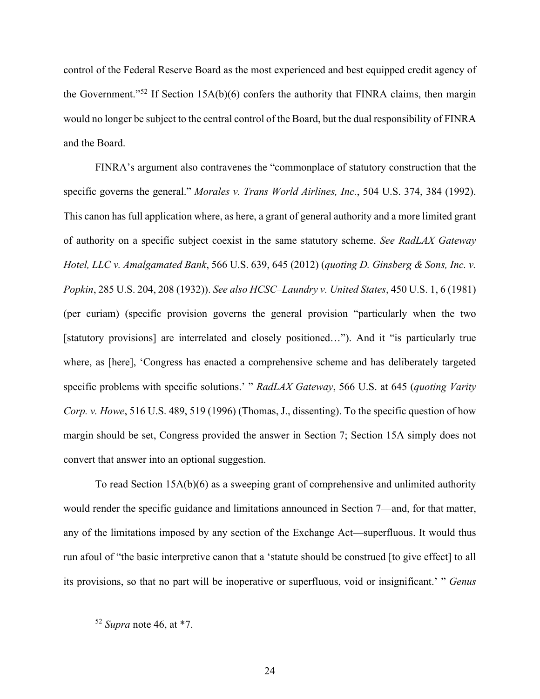control of the Federal Reserve Board as the most experienced and best equipped credit agency of the Government."<sup>[52](#page-30-0)</sup> If Section 15A(b)(6) confers the authority that FINRA claims, then margin would no longer be subject to the central control of the Board, but the dual responsibility of FINRA and the Board.

FINRA's argument also contravenes the "commonplace of statutory construction that the specific governs the general." *Morales v. Trans World Airlines, Inc.*, 504 U.S. 374, 384 (1992). This canon has full application where, as here, a grant of general authority and a more limited grant of authority on a specific subject coexist in the same statutory scheme. *See RadLAX Gateway Hotel, LLC v. Amalgamated Bank*, 566 U.S. 639, 645 (2012) (*quoting D. Ginsberg & Sons, Inc. v. Popkin*, 285 U.S. 204, 208 (1932)). *See also HCSC–Laundry v. United States*, 450 U.S. 1, 6 (1981) (per curiam) (specific provision governs the general provision "particularly when the two [statutory provisions] are interrelated and closely positioned..."). And it "is particularly true where, as [here], 'Congress has enacted a comprehensive scheme and has deliberately targeted specific problems with specific solutions.' " *RadLAX Gateway*, 566 U.S. at 645 (*quoting Varity Corp. v. Howe*, 516 U.S. 489, 519 (1996) (Thomas, J., dissenting). To the specific question of how margin should be set, Congress provided the answer in Section 7; Section 15A simply does not convert that answer into an optional suggestion.

To read Section 15A(b)(6) as a sweeping grant of comprehensive and unlimited authority would render the specific guidance and limitations announced in Section 7—and, for that matter, any of the limitations imposed by any section of the Exchange Act—superfluous. It would thus run afoul of "the basic interpretive canon that a 'statute should be construed [to give effect] to all its provisions, so that no part will be inoperative or superfluous, void or insignificant.' " *Genus* 

<span id="page-30-0"></span><sup>52</sup> *Supra* note 46, at \*7.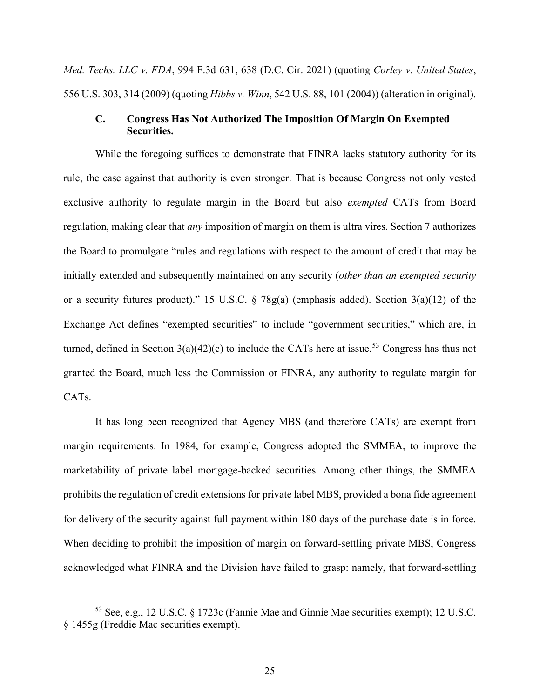*Med. Techs. LLC v. FDA*, 994 F.3d 631, 638 (D.C. Cir. 2021) (quoting *Corley v. United States*, 556 U.S. 303, 314 (2009) (quoting *Hibbs v. Winn*, 542 U.S. 88, 101 (2004)) (alteration in original).

#### **C. Congress Has Not Authorized The Imposition Of Margin On Exempted Securities.**

While the foregoing suffices to demonstrate that FINRA lacks statutory authority for its rule, the case against that authority is even stronger. That is because Congress not only vested exclusive authority to regulate margin in the Board but also *exempted* CATs from Board regulation, making clear that *any* imposition of margin on them is ultra vires. Section 7 authorizes the Board to promulgate "rules and regulations with respect to the amount of credit that may be initially extended and subsequently maintained on any security (*other than an exempted security* or a security futures product)." 15 U.S.C. § 78g(a) (emphasis added). Section 3(a)(12) of the Exchange Act defines "exempted securities" to include "government securities," which are, in turned, defined in Section  $3(a)(42)(c)$  to include the CATs here at issue.<sup>[53](#page-31-0)</sup> Congress has thus not granted the Board, much less the Commission or FINRA, any authority to regulate margin for CATs.

It has long been recognized that Agency MBS (and therefore CATs) are exempt from margin requirements. In 1984, for example, Congress adopted the SMMEA, to improve the marketability of private label mortgage-backed securities. Among other things, the SMMEA prohibits the regulation of credit extensions for private label MBS, provided a bona fide agreement for delivery of the security against full payment within 180 days of the purchase date is in force. When deciding to prohibit the imposition of margin on forward-settling private MBS, Congress acknowledged what FINRA and the Division have failed to grasp: namely, that forward-settling

<span id="page-31-0"></span><sup>53</sup> See, e.g., 12 U.S.C. § 1723c (Fannie Mae and Ginnie Mae securities exempt); 12 U.S.C. § 1455g (Freddie Mac securities exempt).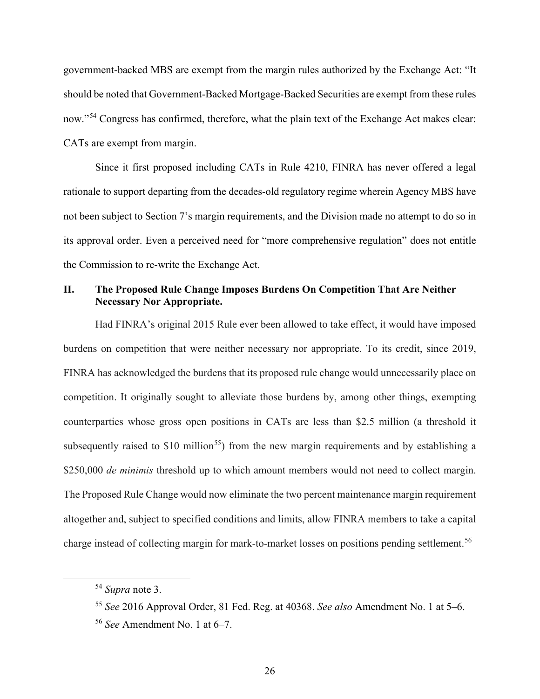government-backed MBS are exempt from the margin rules authorized by the Exchange Act: "It should be noted that Government-Backed Mortgage-Backed Securities are exempt from these rules now."<sup>[54](#page-32-0)</sup> Congress has confirmed, therefore, what the plain text of the Exchange Act makes clear: CATs are exempt from margin.

Since it first proposed including CATs in Rule 4210, FINRA has never offered a legal rationale to support departing from the decades-old regulatory regime wherein Agency MBS have not been subject to Section 7's margin requirements, and the Division made no attempt to do so in its approval order. Even a perceived need for "more comprehensive regulation" does not entitle the Commission to re-write the Exchange Act.

## **II. The Proposed Rule Change Imposes Burdens On Competition That Are Neither Necessary Nor Appropriate.**

Had FINRA's original 2015 Rule ever been allowed to take effect, it would have imposed burdens on competition that were neither necessary nor appropriate. To its credit, since 2019, FINRA has acknowledged the burdens that its proposed rule change would unnecessarily place on competition. It originally sought to alleviate those burdens by, among other things, exempting counterparties whose gross open positions in CATs are less than \$2.5 million (a threshold it subsequently raised to \$10 million<sup>55</sup>) from the new margin requirements and by establishing a \$250,000 *de minimis* threshold up to which amount members would not need to collect margin. The Proposed Rule Change would now eliminate the two percent maintenance margin requirement altogether and, subject to specified conditions and limits, allow FINRA members to take a capital charge instead of collecting margin for mark-to-market losses on positions pending settlement. [56](#page-32-2)

<span id="page-32-0"></span><sup>54</sup> *Supra* note 3.

<span id="page-32-1"></span><sup>55</sup> *See* 2016 Approval Order, 81 Fed. Reg. at 40368. *See also* Amendment No. 1 at 5–6.

<span id="page-32-2"></span><sup>56</sup> *See* Amendment No. 1 at 6–7.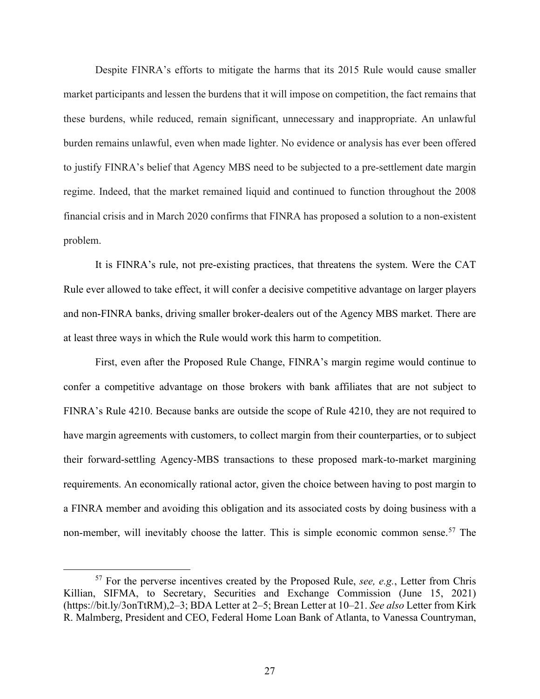Despite FINRA's efforts to mitigate the harms that its 2015 Rule would cause smaller market participants and lessen the burdens that it will impose on competition, the fact remains that these burdens, while reduced, remain significant, unnecessary and inappropriate. An unlawful burden remains unlawful, even when made lighter. No evidence or analysis has ever been offered to justify FINRA's belief that Agency MBS need to be subjected to a pre-settlement date margin regime. Indeed, that the market remained liquid and continued to function throughout the 2008 financial crisis and in March 2020 confirms that FINRA has proposed a solution to a non-existent problem.

It is FINRA's rule, not pre-existing practices, that threatens the system. Were the CAT Rule ever allowed to take effect, it will confer a decisive competitive advantage on larger players and non-FINRA banks, driving smaller broker-dealers out of the Agency MBS market. There are at least three ways in which the Rule would work this harm to competition.

First, even after the Proposed Rule Change, FINRA's margin regime would continue to confer a competitive advantage on those brokers with bank affiliates that are not subject to FINRA's Rule 4210. Because banks are outside the scope of Rule 4210, they are not required to have margin agreements with customers, to collect margin from their counterparties, or to subject their forward-settling Agency-MBS transactions to these proposed mark-to-market margining requirements. An economically rational actor, given the choice between having to post margin to a FINRA member and avoiding this obligation and its associated costs by doing business with a non-member, will inevitably choose the latter. This is simple economic common sense.<sup>[57](#page-33-0)</sup> The

<span id="page-33-0"></span><sup>57</sup> For the perverse incentives created by the Proposed Rule, *see, e.g.*, Letter from Chris Killian, SIFMA, to Secretary, Securities and Exchange Commission (June 15, 2021) (https://bit.ly/3onTtRM),2–3; BDA Letter at 2–5; Brean Letter at 10–21. *See also* Letter from Kirk R. Malmberg, President and CEO, Federal Home Loan Bank of Atlanta, to Vanessa Countryman,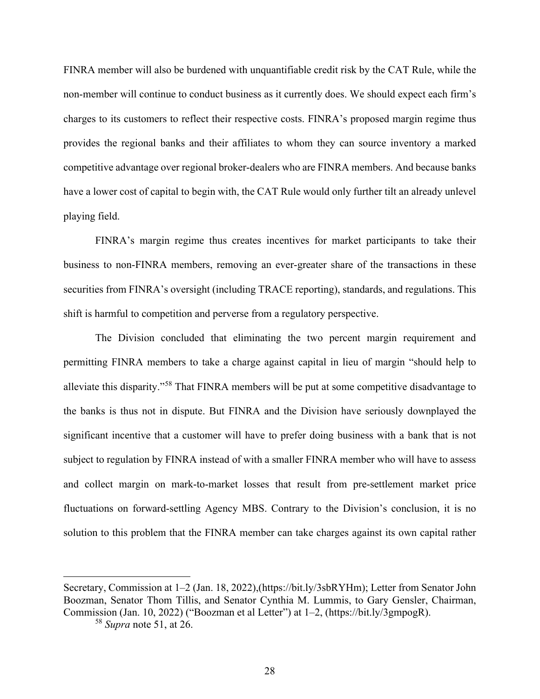FINRA member will also be burdened with unquantifiable credit risk by the CAT Rule, while the non-member will continue to conduct business as it currently does. We should expect each firm's charges to its customers to reflect their respective costs. FINRA's proposed margin regime thus provides the regional banks and their affiliates to whom they can source inventory a marked competitive advantage over regional broker-dealers who are FINRA members. And because banks have a lower cost of capital to begin with, the CAT Rule would only further tilt an already unlevel playing field.

FINRA's margin regime thus creates incentives for market participants to take their business to non-FINRA members, removing an ever-greater share of the transactions in these securities from FINRA's oversight (including TRACE reporting), standards, and regulations. This shift is harmful to competition and perverse from a regulatory perspective.

The Division concluded that eliminating the two percent margin requirement and permitting FINRA members to take a charge against capital in lieu of margin "should help to alleviate this disparity."[58](#page-34-0) That FINRA members will be put at some competitive disadvantage to the banks is thus not in dispute. But FINRA and the Division have seriously downplayed the significant incentive that a customer will have to prefer doing business with a bank that is not subject to regulation by FINRA instead of with a smaller FINRA member who will have to assess and collect margin on mark-to-market losses that result from pre-settlement market price fluctuations on forward-settling Agency MBS. Contrary to the Division's conclusion, it is no solution to this problem that the FINRA member can take charges against its own capital rather

<span id="page-34-0"></span>Secretary, Commission at 1–2 (Jan. 18, 2022),(https://bit.ly/3sbRYHm); Letter from Senator John Boozman, Senator Thom Tillis, and Senator Cynthia M. Lummis, to Gary Gensler, Chairman, Commission (Jan. 10, 2022) ("Boozman et al Letter") at 1–2, (https://bit.ly/3gmpogR).

<sup>58</sup> *Supra* note 51, at 26.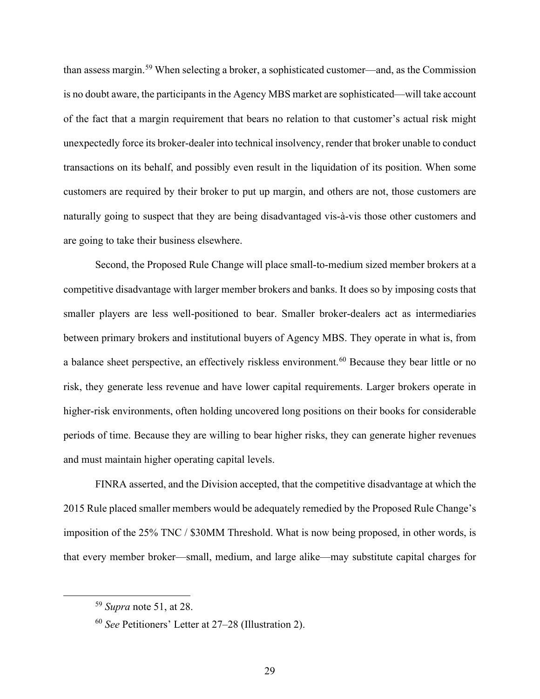than assess margin.[59](#page-35-0) When selecting a broker, a sophisticated customer—and, as the Commission is no doubt aware, the participants in the Agency MBS market are sophisticated—will take account of the fact that a margin requirement that bears no relation to that customer's actual risk might unexpectedly force its broker-dealer into technical insolvency, render that broker unable to conduct transactions on its behalf, and possibly even result in the liquidation of its position. When some customers are required by their broker to put up margin, and others are not, those customers are naturally going to suspect that they are being disadvantaged vis-à-vis those other customers and are going to take their business elsewhere.

Second, the Proposed Rule Change will place small-to-medium sized member brokers at a competitive disadvantage with larger member brokers and banks. It does so by imposing costs that smaller players are less well-positioned to bear. Smaller broker-dealers act as intermediaries between primary brokers and institutional buyers of Agency MBS. They operate in what is, from a balance sheet perspective, an effectively riskless environment.<sup>[60](#page-35-1)</sup> Because they bear little or no risk, they generate less revenue and have lower capital requirements. Larger brokers operate in higher-risk environments, often holding uncovered long positions on their books for considerable periods of time. Because they are willing to bear higher risks, they can generate higher revenues and must maintain higher operating capital levels.

FINRA asserted, and the Division accepted, that the competitive disadvantage at which the 2015 Rule placed smaller members would be adequately remedied by the Proposed Rule Change's imposition of the 25% TNC / \$30MM Threshold. What is now being proposed, in other words, is that every member broker—small, medium, and large alike—may substitute capital charges for

<span id="page-35-0"></span><sup>59</sup> *Supra* note 51, at 28.

<span id="page-35-1"></span><sup>60</sup> *See* Petitioners' Letter at 27–28 (Illustration 2).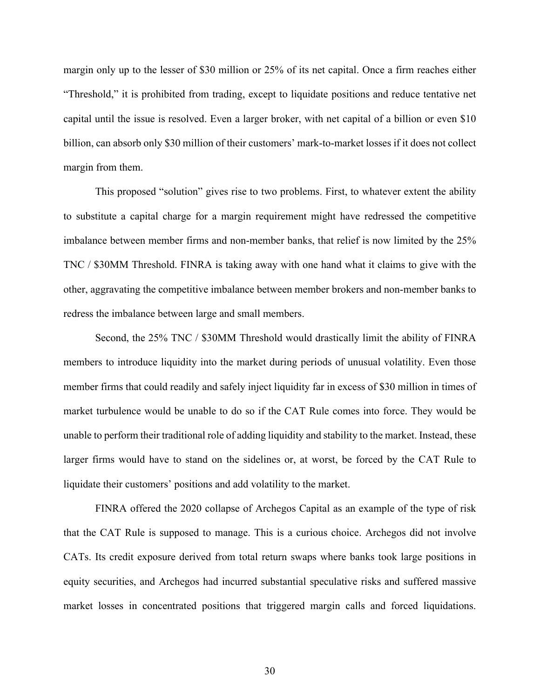margin only up to the lesser of \$30 million or 25% of its net capital. Once a firm reaches either "Threshold," it is prohibited from trading, except to liquidate positions and reduce tentative net capital until the issue is resolved. Even a larger broker, with net capital of a billion or even \$10 billion, can absorb only \$30 million of their customers' mark-to-market losses if it does not collect margin from them.

This proposed "solution" gives rise to two problems. First, to whatever extent the ability to substitute a capital charge for a margin requirement might have redressed the competitive imbalance between member firms and non-member banks, that relief is now limited by the 25% TNC / \$30MM Threshold. FINRA is taking away with one hand what it claims to give with the other, aggravating the competitive imbalance between member brokers and non-member banks to redress the imbalance between large and small members.

Second, the 25% TNC / \$30MM Threshold would drastically limit the ability of FINRA members to introduce liquidity into the market during periods of unusual volatility. Even those member firms that could readily and safely inject liquidity far in excess of \$30 million in times of market turbulence would be unable to do so if the CAT Rule comes into force. They would be unable to perform their traditional role of adding liquidity and stability to the market. Instead, these larger firms would have to stand on the sidelines or, at worst, be forced by the CAT Rule to liquidate their customers' positions and add volatility to the market.

FINRA offered the 2020 collapse of Archegos Capital as an example of the type of risk that the CAT Rule is supposed to manage. This is a curious choice. Archegos did not involve CATs. Its credit exposure derived from total return swaps where banks took large positions in equity securities, and Archegos had incurred substantial speculative risks and suffered massive market losses in concentrated positions that triggered margin calls and forced liquidations.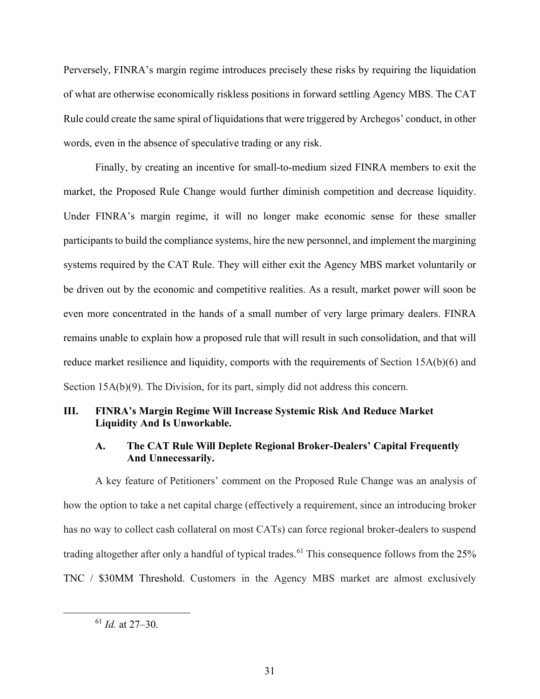Perversely, FINRA's margin regime introduces precisely these risks by requiring the liquidation of what are otherwise economically riskless positions in forward settling Agency MBS. The CAT Rule could create the same spiral of liquidations that were triggered by Archegos' conduct, in other words, even in the absence of speculative trading or any risk.

Finally, by creating an incentive for small-to-medium sized FINRA members to exit the market, the Proposed Rule Change would further diminish competition and decrease liquidity. Under FINRA's margin regime, it will no longer make economic sense for these smaller participants to build the compliance systems, hire the new personnel, and implement the margining systems required by the CAT Rule. They will either exit the Agency MBS market voluntarily or be driven out by the economic and competitive realities. As a result, market power will soon be even more concentrated in the hands of a small number of very large primary dealers. FINRA remains unable to explain how a proposed rule that will result in such consolidation, and that will reduce market resilience and liquidity, comports with the requirements of Section 15A(b)(6) and Section 15A(b)(9). The Division, for its part, simply did not address this concern.

### **III. FINRA's Margin Regime Will Increase Systemic Risk And Reduce Market Liquidity And Is Unworkable.**

#### **A. The CAT Rule Will Deplete Regional Broker-Dealers' Capital Frequently And Unnecessarily.**

A key feature of Petitioners' comment on the Proposed Rule Change was an analysis of how the option to take a net capital charge (effectively a requirement, since an introducing broker has no way to collect cash collateral on most CATs) can force regional broker-dealers to suspend trading altogether after only a handful of typical trades.<sup>[61](#page-37-0)</sup> This consequence follows from the 25% TNC / \$30MM Threshold. Customers in the Agency MBS market are almost exclusively

<span id="page-37-0"></span><sup>61</sup> *Id.* at 27–30.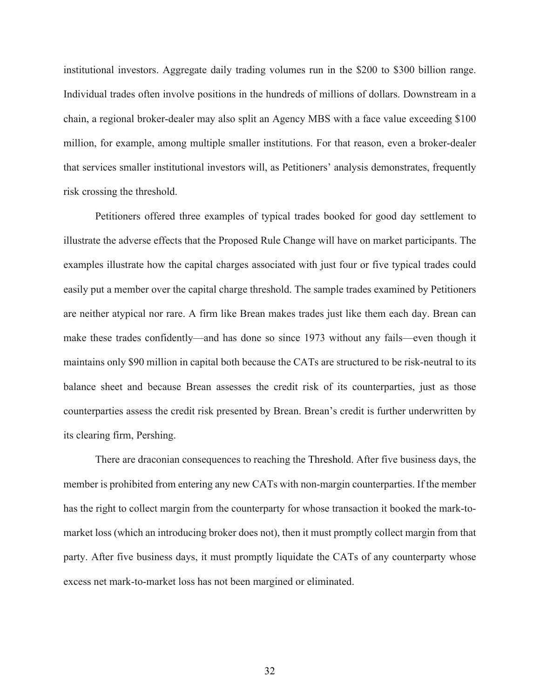institutional investors. Aggregate daily trading volumes run in the \$200 to \$300 billion range. Individual trades often involve positions in the hundreds of millions of dollars. Downstream in a chain, a regional broker-dealer may also split an Agency MBS with a face value exceeding \$100 million, for example, among multiple smaller institutions. For that reason, even a broker-dealer that services smaller institutional investors will, as Petitioners' analysis demonstrates, frequently risk crossing the threshold.

Petitioners offered three examples of typical trades booked for good day settlement to illustrate the adverse effects that the Proposed Rule Change will have on market participants. The examples illustrate how the capital charges associated with just four or five typical trades could easily put a member over the capital charge threshold. The sample trades examined by Petitioners are neither atypical nor rare. A firm like Brean makes trades just like them each day. Brean can make these trades confidently—and has done so since 1973 without any fails—even though it maintains only \$90 million in capital both because the CATs are structured to be risk-neutral to its balance sheet and because Brean assesses the credit risk of its counterparties, just as those counterparties assess the credit risk presented by Brean. Brean's credit is further underwritten by its clearing firm, Pershing.

There are draconian consequences to reaching the Threshold. After five business days, the member is prohibited from entering any new CATs with non-margin counterparties. If the member has the right to collect margin from the counterparty for whose transaction it booked the mark-tomarket loss (which an introducing broker does not), then it must promptly collect margin from that party. After five business days, it must promptly liquidate the CATs of any counterparty whose excess net mark-to-market loss has not been margined or eliminated.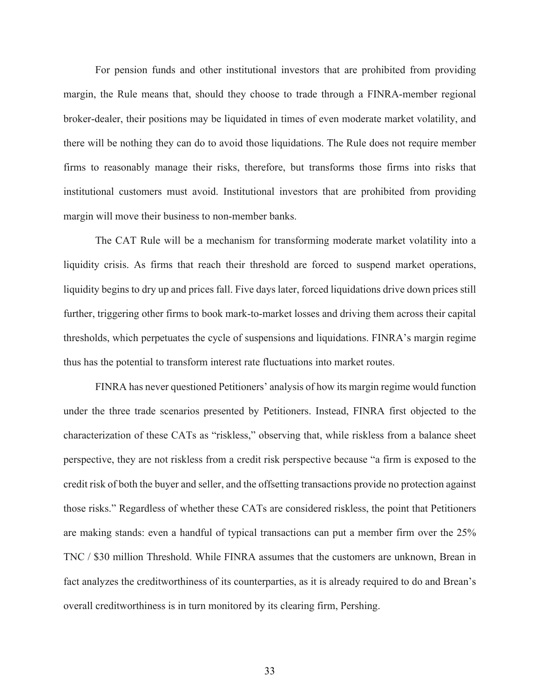For pension funds and other institutional investors that are prohibited from providing margin, the Rule means that, should they choose to trade through a FINRA-member regional broker-dealer, their positions may be liquidated in times of even moderate market volatility, and there will be nothing they can do to avoid those liquidations. The Rule does not require member firms to reasonably manage their risks, therefore, but transforms those firms into risks that institutional customers must avoid. Institutional investors that are prohibited from providing margin will move their business to non-member banks.

The CAT Rule will be a mechanism for transforming moderate market volatility into a liquidity crisis. As firms that reach their threshold are forced to suspend market operations, liquidity begins to dry up and prices fall. Five days later, forced liquidations drive down prices still further, triggering other firms to book mark-to-market losses and driving them across their capital thresholds, which perpetuates the cycle of suspensions and liquidations. FINRA's margin regime thus has the potential to transform interest rate fluctuations into market routes.

FINRA has never questioned Petitioners' analysis of how its margin regime would function under the three trade scenarios presented by Petitioners. Instead, FINRA first objected to the characterization of these CATs as "riskless," observing that, while riskless from a balance sheet perspective, they are not riskless from a credit risk perspective because "a firm is exposed to the credit risk of both the buyer and seller, and the offsetting transactions provide no protection against those risks." Regardless of whether these CATs are considered riskless, the point that Petitioners are making stands: even a handful of typical transactions can put a member firm over the 25% TNC / \$30 million Threshold. While FINRA assumes that the customers are unknown, Brean in fact analyzes the creditworthiness of its counterparties, as it is already required to do and Brean's overall creditworthiness is in turn monitored by its clearing firm, Pershing.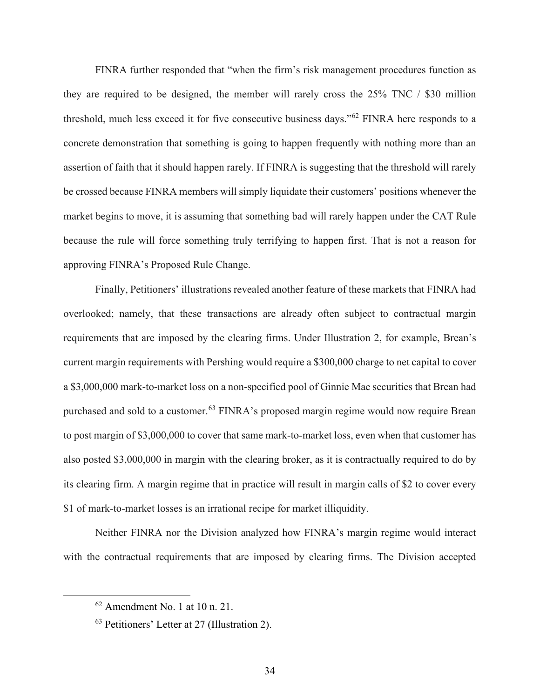FINRA further responded that "when the firm's risk management procedures function as they are required to be designed, the member will rarely cross the 25% TNC / \$30 million threshold, much less exceed it for five consecutive business days."[62](#page-40-0) FINRA here responds to a concrete demonstration that something is going to happen frequently with nothing more than an assertion of faith that it should happen rarely. If FINRA is suggesting that the threshold will rarely be crossed because FINRA members will simply liquidate their customers' positions whenever the market begins to move, it is assuming that something bad will rarely happen under the CAT Rule because the rule will force something truly terrifying to happen first. That is not a reason for approving FINRA's Proposed Rule Change.

Finally, Petitioners' illustrations revealed another feature of these markets that FINRA had overlooked; namely, that these transactions are already often subject to contractual margin requirements that are imposed by the clearing firms. Under Illustration 2, for example, Brean's current margin requirements with Pershing would require a \$300,000 charge to net capital to cover a \$3,000,000 mark-to-market loss on a non-specified pool of Ginnie Mae securities that Brean had purchased and sold to a customer.<sup>[63](#page-40-1)</sup> FINRA's proposed margin regime would now require Brean to post margin of \$3,000,000 to cover that same mark-to-market loss, even when that customer has also posted \$3,000,000 in margin with the clearing broker, as it is contractually required to do by its clearing firm. A margin regime that in practice will result in margin calls of \$2 to cover every \$1 of mark-to-market losses is an irrational recipe for market illiquidity.

Neither FINRA nor the Division analyzed how FINRA's margin regime would interact with the contractual requirements that are imposed by clearing firms. The Division accepted

<span id="page-40-0"></span> $62$  Amendment No. 1 at 10 n. 21.

<span id="page-40-1"></span><sup>63</sup> Petitioners' Letter at 27 (Illustration 2).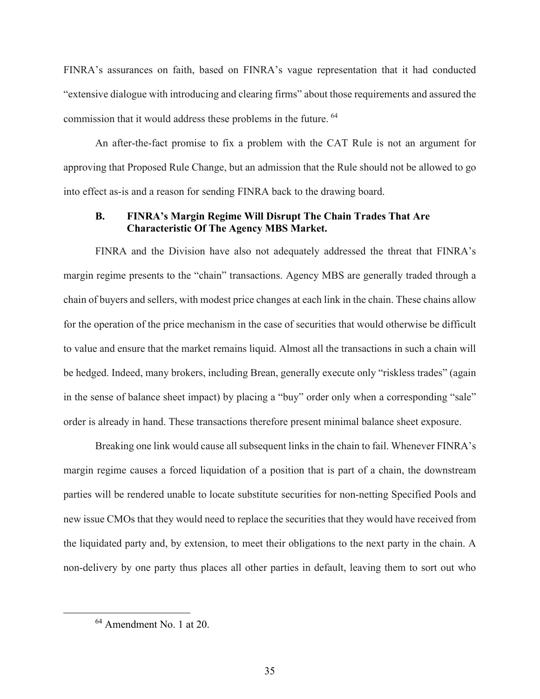FINRA's assurances on faith, based on FINRA's vague representation that it had conducted "extensive dialogue with introducing and clearing firms" about those requirements and assured the commission that it would address these problems in the future. [64](#page-41-0)

An after-the-fact promise to fix a problem with the CAT Rule is not an argument for approving that Proposed Rule Change, but an admission that the Rule should not be allowed to go into effect as-is and a reason for sending FINRA back to the drawing board.

#### **B. FINRA's Margin Regime Will Disrupt The Chain Trades That Are Characteristic Of The Agency MBS Market.**

FINRA and the Division have also not adequately addressed the threat that FINRA's margin regime presents to the "chain" transactions. Agency MBS are generally traded through a chain of buyers and sellers, with modest price changes at each link in the chain. These chains allow for the operation of the price mechanism in the case of securities that would otherwise be difficult to value and ensure that the market remains liquid. Almost all the transactions in such a chain will be hedged. Indeed, many brokers, including Brean, generally execute only "riskless trades" (again in the sense of balance sheet impact) by placing a "buy" order only when a corresponding "sale" order is already in hand. These transactions therefore present minimal balance sheet exposure.

Breaking one link would cause all subsequent links in the chain to fail. Whenever FINRA's margin regime causes a forced liquidation of a position that is part of a chain, the downstream parties will be rendered unable to locate substitute securities for non-netting Specified Pools and new issue CMOs that they would need to replace the securities that they would have received from the liquidated party and, by extension, to meet their obligations to the next party in the chain. A non-delivery by one party thus places all other parties in default, leaving them to sort out who

<span id="page-41-0"></span><sup>64</sup> Amendment No. 1 at 20.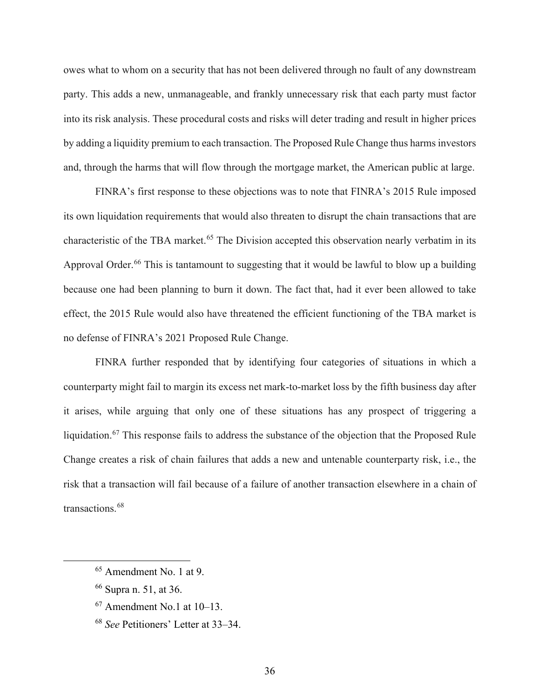owes what to whom on a security that has not been delivered through no fault of any downstream party. This adds a new, unmanageable, and frankly unnecessary risk that each party must factor into its risk analysis. These procedural costs and risks will deter trading and result in higher prices by adding a liquidity premium to each transaction. The Proposed Rule Change thus harms investors and, through the harms that will flow through the mortgage market, the American public at large.

FINRA's first response to these objections was to note that FINRA's 2015 Rule imposed its own liquidation requirements that would also threaten to disrupt the chain transactions that are characteristic of the TBA market.<sup>[65](#page-42-0)</sup> The Division accepted this observation nearly verbatim in its Approval Order.<sup>[66](#page-42-1)</sup> This is tantamount to suggesting that it would be lawful to blow up a building because one had been planning to burn it down. The fact that, had it ever been allowed to take effect, the 2015 Rule would also have threatened the efficient functioning of the TBA market is no defense of FINRA's 2021 Proposed Rule Change.

FINRA further responded that by identifying four categories of situations in which a counterparty might fail to margin its excess net mark-to-market loss by the fifth business day after it arises, while arguing that only one of these situations has any prospect of triggering a liquidation.<sup>[67](#page-42-2)</sup> This response fails to address the substance of the objection that the Proposed Rule Change creates a risk of chain failures that adds a new and untenable counterparty risk, i.e., the risk that a transaction will fail because of a failure of another transaction elsewhere in a chain of transactions.<sup>[68](#page-42-3)</sup>

<span id="page-42-0"></span><sup>65</sup> Amendment No. 1 at 9.

<span id="page-42-1"></span><sup>66</sup> Supra n. 51, at 36.

<span id="page-42-2"></span><sup>67</sup> Amendment No.1 at 10–13.

<span id="page-42-3"></span><sup>68</sup> *See* Petitioners' Letter at 33–34.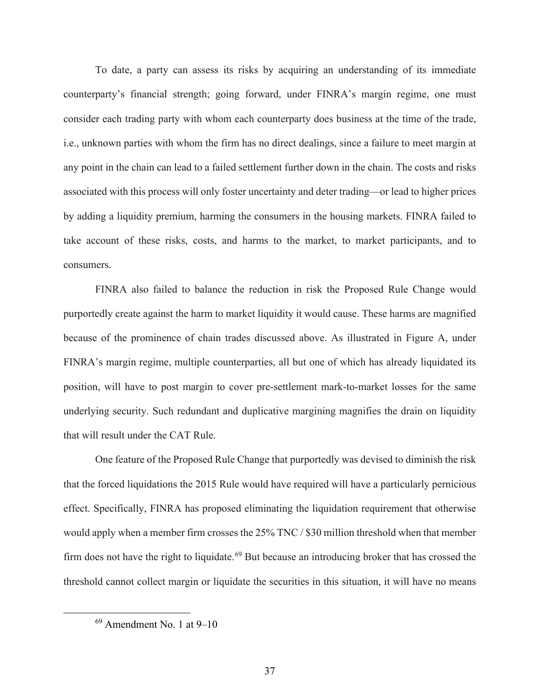To date, a party can assess its risks by acquiring an understanding of its immediate counterparty's financial strength; going forward, under FINRA's margin regime, one must consider each trading party with whom each counterparty does business at the time of the trade, i.e., unknown parties with whom the firm has no direct dealings, since a failure to meet margin at any point in the chain can lead to a failed settlement further down in the chain. The costs and risks associated with this process will only foster uncertainty and deter trading—or lead to higher prices by adding a liquidity premium, harming the consumers in the housing markets. FINRA failed to take account of these risks, costs, and harms to the market, to market participants, and to consumers.

FINRA also failed to balance the reduction in risk the Proposed Rule Change would purportedly create against the harm to market liquidity it would cause. These harms are magnified because of the prominence of chain trades discussed above. As illustrated in Figure A, under FINRA's margin regime, multiple counterparties, all but one of which has already liquidated its position, will have to post margin to cover pre-settlement mark-to-market losses for the same underlying security. Such redundant and duplicative margining magnifies the drain on liquidity that will result under the CAT Rule.

One feature of the Proposed Rule Change that purportedly was devised to diminish the risk that the forced liquidations the 2015 Rule would have required will have a particularly pernicious effect. Specifically, FINRA has proposed eliminating the liquidation requirement that otherwise would apply when a member firm crosses the 25% TNC / \$30 million threshold when that member firm does not have the right to liquidate.<sup>[69](#page-43-0)</sup> But because an introducing broker that has crossed the threshold cannot collect margin or liquidate the securities in this situation, it will have no means

<span id="page-43-0"></span> $69$  Amendment No. 1 at  $9-10$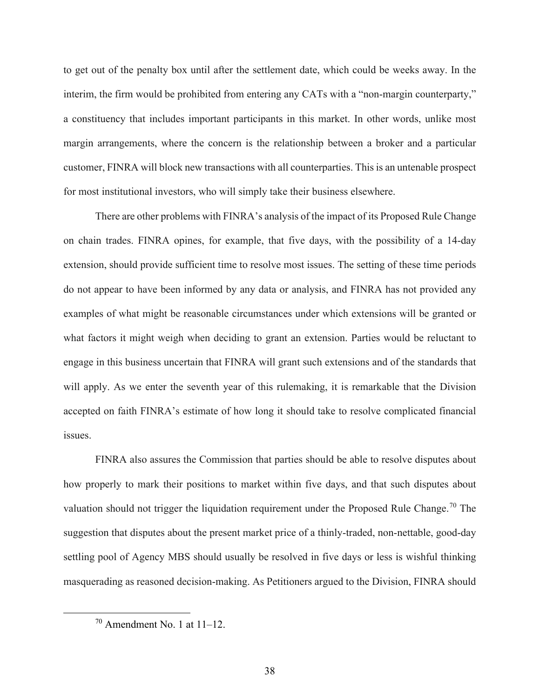to get out of the penalty box until after the settlement date, which could be weeks away. In the interim, the firm would be prohibited from entering any CATs with a "non-margin counterparty," a constituency that includes important participants in this market. In other words, unlike most margin arrangements, where the concern is the relationship between a broker and a particular customer, FINRA will block new transactions with all counterparties. This is an untenable prospect for most institutional investors, who will simply take their business elsewhere.

There are other problems with FINRA's analysis of the impact of its Proposed Rule Change on chain trades. FINRA opines, for example, that five days, with the possibility of a 14-day extension, should provide sufficient time to resolve most issues. The setting of these time periods do not appear to have been informed by any data or analysis, and FINRA has not provided any examples of what might be reasonable circumstances under which extensions will be granted or what factors it might weigh when deciding to grant an extension. Parties would be reluctant to engage in this business uncertain that FINRA will grant such extensions and of the standards that will apply. As we enter the seventh year of this rulemaking, it is remarkable that the Division accepted on faith FINRA's estimate of how long it should take to resolve complicated financial issues.

FINRA also assures the Commission that parties should be able to resolve disputes about how properly to mark their positions to market within five days, and that such disputes about valuation should not trigger the liquidation requirement under the Proposed Rule Change.<sup>[70](#page-44-0)</sup> The suggestion that disputes about the present market price of a thinly-traded, non-nettable, good-day settling pool of Agency MBS should usually be resolved in five days or less is wishful thinking masquerading as reasoned decision-making. As Petitioners argued to the Division, FINRA should

<span id="page-44-0"></span> $70$  Amendment No. 1 at 11–12.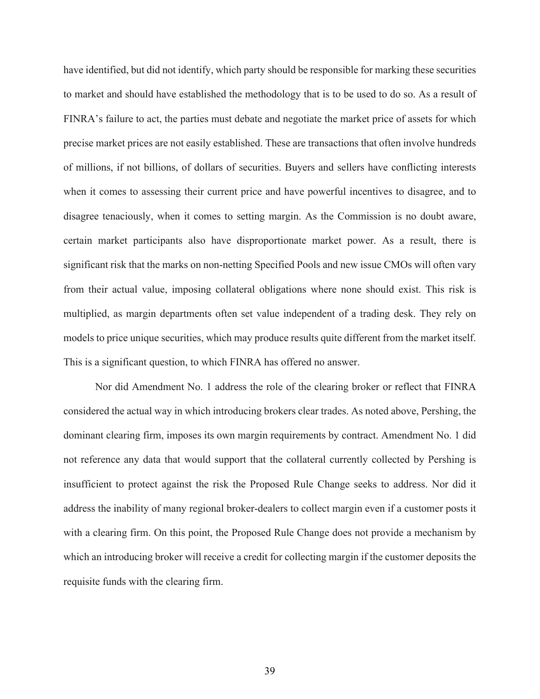have identified, but did not identify, which party should be responsible for marking these securities to market and should have established the methodology that is to be used to do so. As a result of FINRA's failure to act, the parties must debate and negotiate the market price of assets for which precise market prices are not easily established. These are transactions that often involve hundreds of millions, if not billions, of dollars of securities. Buyers and sellers have conflicting interests when it comes to assessing their current price and have powerful incentives to disagree, and to disagree tenaciously, when it comes to setting margin. As the Commission is no doubt aware, certain market participants also have disproportionate market power. As a result, there is significant risk that the marks on non-netting Specified Pools and new issue CMOs will often vary from their actual value, imposing collateral obligations where none should exist. This risk is multiplied, as margin departments often set value independent of a trading desk. They rely on models to price unique securities, which may produce results quite different from the market itself. This is a significant question, to which FINRA has offered no answer.

Nor did Amendment No. 1 address the role of the clearing broker or reflect that FINRA considered the actual way in which introducing brokers clear trades. As noted above, Pershing, the dominant clearing firm, imposes its own margin requirements by contract. Amendment No. 1 did not reference any data that would support that the collateral currently collected by Pershing is insufficient to protect against the risk the Proposed Rule Change seeks to address. Nor did it address the inability of many regional broker-dealers to collect margin even if a customer posts it with a clearing firm. On this point, the Proposed Rule Change does not provide a mechanism by which an introducing broker will receive a credit for collecting margin if the customer deposits the requisite funds with the clearing firm.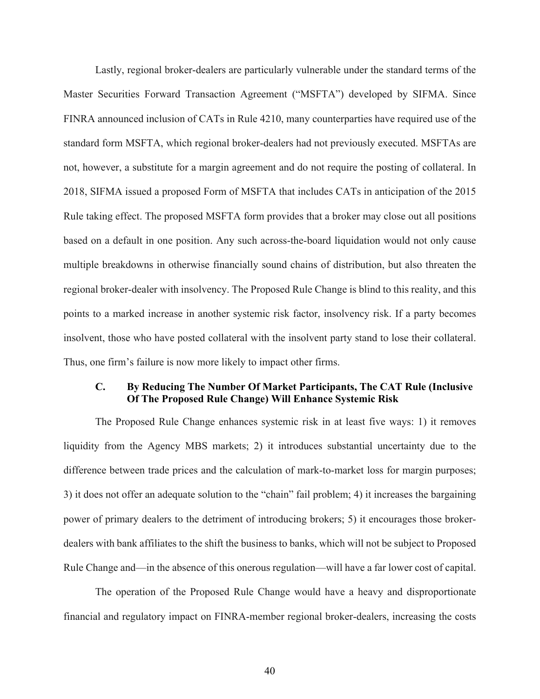Lastly, regional broker-dealers are particularly vulnerable under the standard terms of the Master Securities Forward Transaction Agreement ("MSFTA") developed by SIFMA. Since FINRA announced inclusion of CATs in Rule 4210, many counterparties have required use of the standard form MSFTA, which regional broker-dealers had not previously executed. MSFTAs are not, however, a substitute for a margin agreement and do not require the posting of collateral. In 2018, SIFMA issued a proposed Form of MSFTA that includes CATs in anticipation of the 2015 Rule taking effect. The proposed MSFTA form provides that a broker may close out all positions based on a default in one position. Any such across-the-board liquidation would not only cause multiple breakdowns in otherwise financially sound chains of distribution, but also threaten the regional broker-dealer with insolvency. The Proposed Rule Change is blind to this reality, and this points to a marked increase in another systemic risk factor, insolvency risk. If a party becomes insolvent, those who have posted collateral with the insolvent party stand to lose their collateral. Thus, one firm's failure is now more likely to impact other firms.

#### **C. By Reducing The Number Of Market Participants, The CAT Rule (Inclusive Of The Proposed Rule Change) Will Enhance Systemic Risk**

The Proposed Rule Change enhances systemic risk in at least five ways: 1) it removes liquidity from the Agency MBS markets; 2) it introduces substantial uncertainty due to the difference between trade prices and the calculation of mark-to-market loss for margin purposes; 3) it does not offer an adequate solution to the "chain" fail problem; 4) it increases the bargaining power of primary dealers to the detriment of introducing brokers; 5) it encourages those brokerdealers with bank affiliates to the shift the business to banks, which will not be subject to Proposed Rule Change and—in the absence of this onerous regulation—will have a far lower cost of capital.

The operation of the Proposed Rule Change would have a heavy and disproportionate financial and regulatory impact on FINRA-member regional broker-dealers, increasing the costs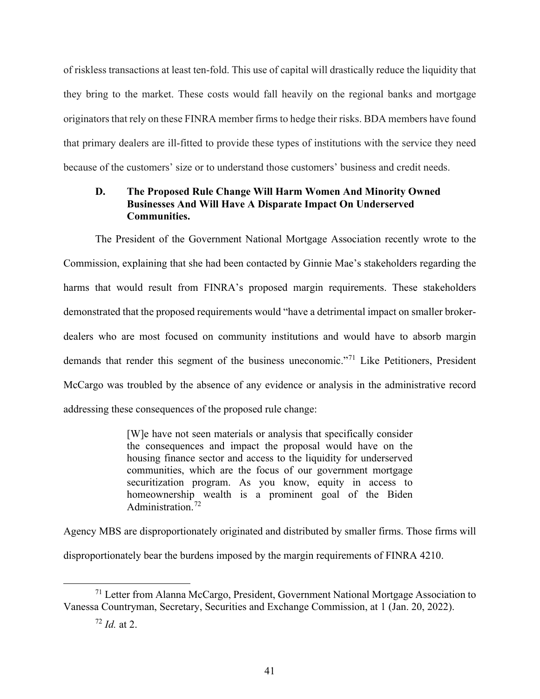of riskless transactions at least ten-fold. This use of capital will drastically reduce the liquidity that they bring to the market. These costs would fall heavily on the regional banks and mortgage originators that rely on these FINRA member firms to hedge their risks. BDA members have found that primary dealers are ill-fitted to provide these types of institutions with the service they need because of the customers' size or to understand those customers' business and credit needs.

## **D. The Proposed Rule Change Will Harm Women And Minority Owned Businesses And Will Have A Disparate Impact On Underserved Communities.**

The President of the Government National Mortgage Association recently wrote to the Commission, explaining that she had been contacted by Ginnie Mae's stakeholders regarding the harms that would result from FINRA's proposed margin requirements. These stakeholders demonstrated that the proposed requirements would "have a detrimental impact on smaller brokerdealers who are most focused on community institutions and would have to absorb margin demands that render this segment of the business uneconomic."[71](#page-47-0) Like Petitioners, President McCargo was troubled by the absence of any evidence or analysis in the administrative record addressing these consequences of the proposed rule change:

> [W]e have not seen materials or analysis that specifically consider the consequences and impact the proposal would have on the housing finance sector and access to the liquidity for underserved communities, which are the focus of our government mortgage securitization program. As you know, equity in access to homeownership wealth is a prominent goal of the Biden Administration.<sup>[72](#page-47-1)</sup>

Agency MBS are disproportionately originated and distributed by smaller firms. Those firms will disproportionately bear the burdens imposed by the margin requirements of FINRA 4210.

<span id="page-47-1"></span><span id="page-47-0"></span><sup>&</sup>lt;sup>71</sup> Letter from Alanna McCargo, President, Government National Mortgage Association to Vanessa Countryman, Secretary, Securities and Exchange Commission, at 1 (Jan. 20, 2022).

<sup>72</sup> *Id.* at 2.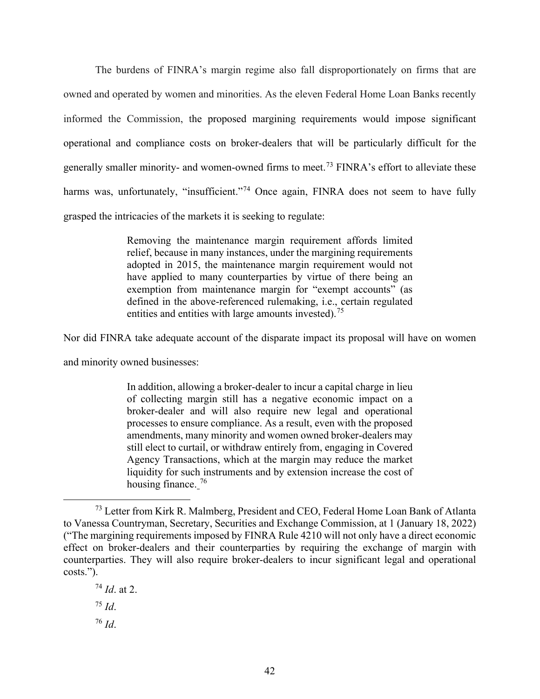The burdens of FINRA's margin regime also fall disproportionately on firms that are owned and operated by women and minorities. As the eleven Federal Home Loan Banks recently informed the Commission, the proposed margining requirements would impose significant operational and compliance costs on broker-dealers that will be particularly difficult for the generally smaller minority- and women-owned firms to meet.<sup>[73](#page-48-0)</sup> FINRA's effort to alleviate these harms was, unfortunately, "insufficient."<sup>[74](#page-48-1)</sup> Once again, FINRA does not seem to have fully grasped the intricacies of the markets it is seeking to regulate:

> Removing the maintenance margin requirement affords limited relief, because in many instances, under the margining requirements adopted in 2015, the maintenance margin requirement would not have applied to many counterparties by virtue of there being an exemption from maintenance margin for "exempt accounts" (as defined in the above-referenced rulemaking, i.e., certain regulated entities and entities with large amounts invested).<sup>[75](#page-48-2)</sup>

Nor did FINRA take adequate account of the disparate impact its proposal will have on women

and minority owned businesses:

In addition, allowing a broker-dealer to incur a capital charge in lieu of collecting margin still has a negative economic impact on a broker-dealer and will also require new legal and operational processes to ensure compliance. As a result, even with the proposed amendments, many minority and women owned broker-dealers may still elect to curtail, or withdraw entirely from, engaging in Covered Agency Transactions, which at the margin may reduce the market liquidity for such instruments and by extension increase the cost of housing finance.<sup>[76](#page-48-3)</sup>

<span id="page-48-3"></span><span id="page-48-2"></span><span id="page-48-1"></span><sup>74</sup> *Id*. at 2. <sup>75</sup> *Id*. <sup>76</sup> *Id*.

<span id="page-48-0"></span><sup>73</sup> Letter from Kirk R. Malmberg, President and CEO, Federal Home Loan Bank of Atlanta to Vanessa Countryman, Secretary, Securities and Exchange Commission, at 1 (January 18, 2022) ("The margining requirements imposed by FINRA Rule 4210 will not only have a direct economic effect on broker-dealers and their counterparties by requiring the exchange of margin with counterparties. They will also require broker-dealers to incur significant legal and operational costs.").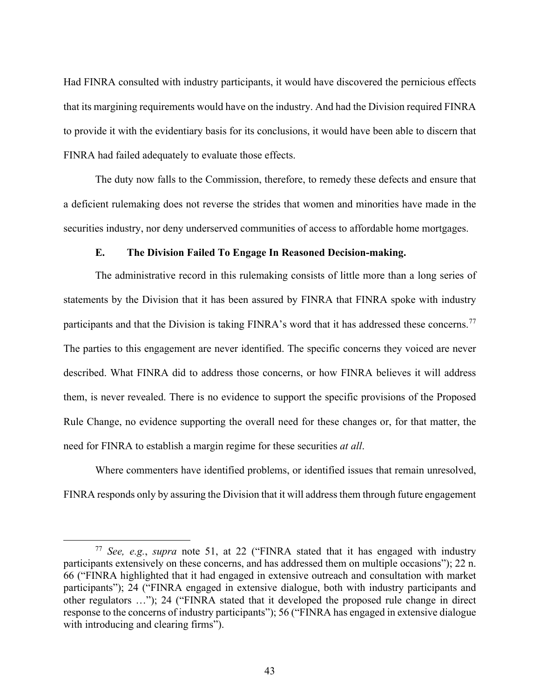Had FINRA consulted with industry participants, it would have discovered the pernicious effects that its margining requirements would have on the industry. And had the Division required FINRA to provide it with the evidentiary basis for its conclusions, it would have been able to discern that FINRA had failed adequately to evaluate those effects.

The duty now falls to the Commission, therefore, to remedy these defects and ensure that a deficient rulemaking does not reverse the strides that women and minorities have made in the securities industry, nor deny underserved communities of access to affordable home mortgages.

## **E. The Division Failed To Engage In Reasoned Decision-making.**

The administrative record in this rulemaking consists of little more than a long series of statements by the Division that it has been assured by FINRA that FINRA spoke with industry participants and that the Division is taking FINRA's word that it has addressed these concerns.<sup>[77](#page-49-0)</sup> The parties to this engagement are never identified. The specific concerns they voiced are never described. What FINRA did to address those concerns, or how FINRA believes it will address them, is never revealed. There is no evidence to support the specific provisions of the Proposed Rule Change, no evidence supporting the overall need for these changes or, for that matter, the need for FINRA to establish a margin regime for these securities *at all*.

Where commenters have identified problems, or identified issues that remain unresolved, FINRA responds only by assuring the Division that it will address them through future engagement

<span id="page-49-0"></span><sup>77</sup> *See, e.g.*, *supra* note 51, at 22 ("FINRA stated that it has engaged with industry participants extensively on these concerns, and has addressed them on multiple occasions"); 22 n. 66 ("FINRA highlighted that it had engaged in extensive outreach and consultation with market participants"); 24 ("FINRA engaged in extensive dialogue, both with industry participants and other regulators …"); 24 ("FINRA stated that it developed the proposed rule change in direct response to the concerns of industry participants"); 56 ("FINRA has engaged in extensive dialogue with introducing and clearing firms").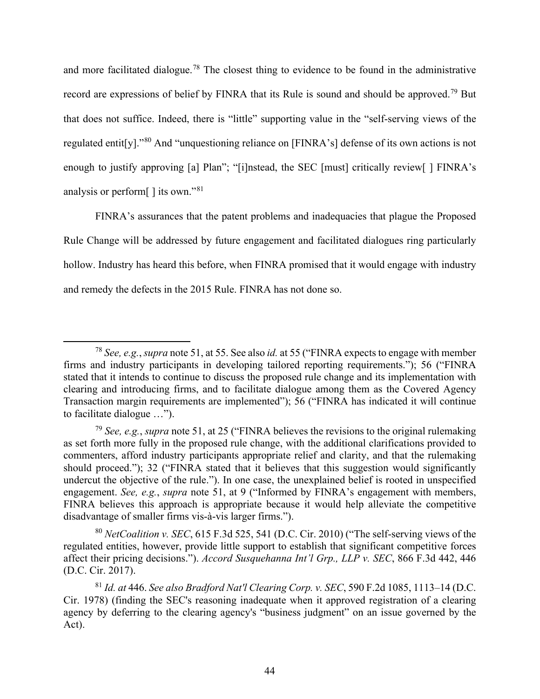and more facilitated dialogue.<sup>[78](#page-50-0)</sup> The closest thing to evidence to be found in the administrative record are expressions of belief by FINRA that its Rule is sound and should be approved.<sup>[79](#page-50-1)</sup> But that does not suffice. Indeed, there is "little" supporting value in the "self-serving views of the regulated entit[y]."[80](#page-50-2) And "unquestioning reliance on [FINRA's] defense of its own actions is not enough to justify approving [a] Plan"; "[i]nstead, the SEC [must] critically review[ ] FINRA's analysis or perform[ ] its own."[81](#page-50-3)

FINRA's assurances that the patent problems and inadequacies that plague the Proposed Rule Change will be addressed by future engagement and facilitated dialogues ring particularly hollow. Industry has heard this before, when FINRA promised that it would engage with industry and remedy the defects in the 2015 Rule. FINRA has not done so.

<span id="page-50-0"></span><sup>78</sup> *See, e.g.*, *supra* note 51, at 55. See also *id.* at 55 ("FINRA expects to engage with member firms and industry participants in developing tailored reporting requirements."); 56 ("FINRA stated that it intends to continue to discuss the proposed rule change and its implementation with clearing and introducing firms, and to facilitate dialogue among them as the Covered Agency Transaction margin requirements are implemented"); 56 ("FINRA has indicated it will continue to facilitate dialogue …").

<span id="page-50-1"></span><sup>79</sup> *See, e.g.*, *supra* note 51, at 25 ("FINRA believes the revisions to the original rulemaking as set forth more fully in the proposed rule change, with the additional clarifications provided to commenters, afford industry participants appropriate relief and clarity, and that the rulemaking should proceed."); 32 ("FINRA stated that it believes that this suggestion would significantly undercut the objective of the rule."). In one case, the unexplained belief is rooted in unspecified engagement. *See, e.g.*, *supra* note 51, at 9 ("Informed by FINRA's engagement with members, FINRA believes this approach is appropriate because it would help alleviate the competitive disadvantage of smaller firms vis-à-vis larger firms.").

<span id="page-50-2"></span><sup>80</sup> *NetCoalition v. SEC*, 615 F.3d 525, 541 (D.C. Cir. 2010) ("The self-serving views of the regulated entities, however, provide little support to establish that significant competitive forces affect their pricing decisions."). *Accord Susquehanna Int'l Grp., LLP v. SEC*, 866 F.3d 442, 446 (D.C. Cir. 2017).

<span id="page-50-3"></span><sup>81</sup> *Id. at* 446. *See also Bradford Nat'l Clearing Corp. v. SEC*, 590 F.2d 1085, 1113–14 (D.C. Cir. 1978) (finding the SEC's reasoning inadequate when it approved registration of a clearing agency by deferring to the clearing agency's "business judgment" on an issue governed by the Act).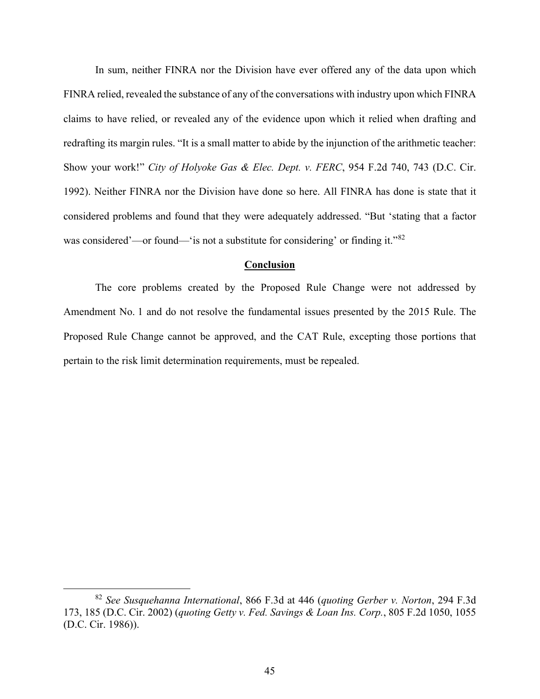In sum, neither FINRA nor the Division have ever offered any of the data upon which FINRA relied, revealed the substance of any of the conversations with industry upon which FINRA claims to have relied, or revealed any of the evidence upon which it relied when drafting and redrafting its margin rules. "It is a small matter to abide by the injunction of the arithmetic teacher: Show your work!" *City of Holyoke Gas & Elec. Dept. v. FERC*, 954 F.2d 740, 743 (D.C. Cir. 1992). Neither FINRA nor the Division have done so here. All FINRA has done is state that it considered problems and found that they were adequately addressed. "But 'stating that a factor was considered'—or found—'is not a substitute for considering' or finding it."<sup>[82](#page-51-0)</sup>

#### **Conclusion**

The core problems created by the Proposed Rule Change were not addressed by Amendment No. 1 and do not resolve the fundamental issues presented by the 2015 Rule. The Proposed Rule Change cannot be approved, and the CAT Rule, excepting those portions that pertain to the risk limit determination requirements, must be repealed.

<span id="page-51-0"></span><sup>82</sup> *See Susquehanna International*, 866 F.3d at 446 (*quoting Gerber v. Norton*, 294 F.3d 173, 185 (D.C. Cir. 2002) (*quoting Getty v. Fed. Savings & Loan Ins. Corp.*, 805 F.2d 1050, 1055 (D.C. Cir. 1986)).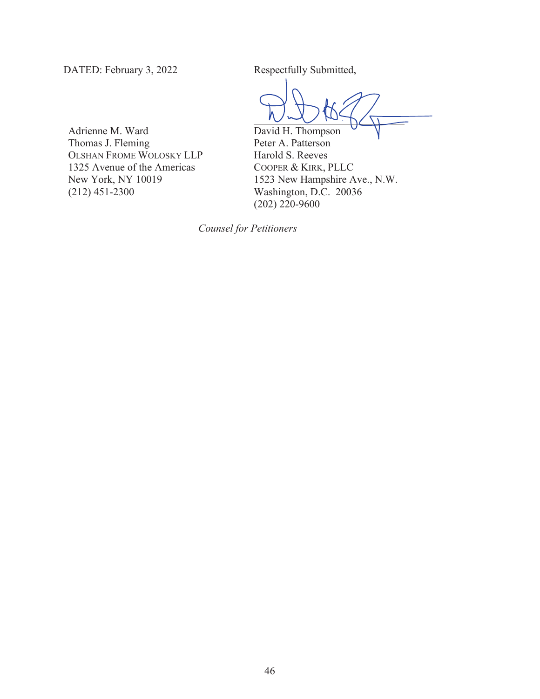DATED: February 3, 2022 Respectfully Submitted,

David H. Thompson

Adrienne M. Ward Thomas J. Fleming OLSHAN FROME WOLOSKY LLP 1325 Avenue of the Americas New York, NY 10019 (212) 451-2300

Peter A. Patterson Harold S. Reeves COOPER & KIRK, PLLC 1523 New Hampshire Ave., N.W. Washington, D.C. 20036 (202) 220-9600

 *Counsel for Petitioners*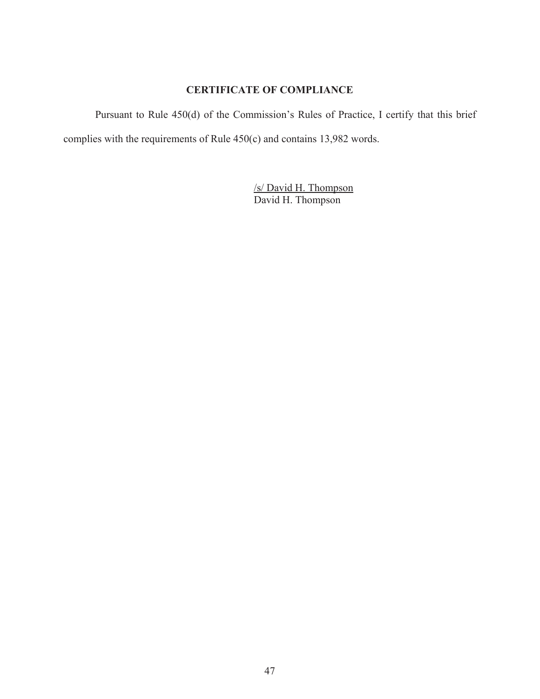## **CERTIFICATE OF COMPLIANCE**

Pursuant to Rule 450(d) of the Commission's Rules of Practice, I certify that this brief complies with the requirements of Rule 450(c) and contains 13,982 words.

> /s/ David H. Thompson David H. Thompson